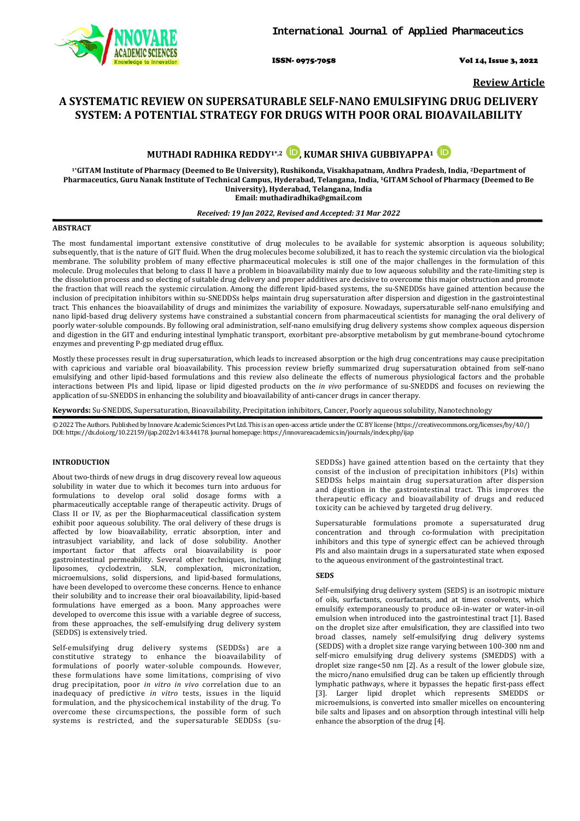

ISSN- 0975-7058 Vol 14, Issue 3, 2022

**Review Article**

# **A SYSTEMATIC REVIEW ON SUPERSATURABLE SELF-NANO EMULSIFYING DRUG DELIVERY SYSTEM: A POTENTIAL STRATEGY FOR DRUGS WITH POOR ORAL BIOAVAILABILITY**

**MUTHADI RADHIKA REDDY1\*,2 [,](https://orcid.org/0000-0001-8205-4915) KUMAR SHIVA GUBBIYAPPA1**

**1\*GITAM Institute of Pharmacy (Deemed to Be University), Rushikonda, Visakhapatnam, Andhra Pradesh, India, 2Department of Pharmaceutics, Guru Nanak Institute of Technical Campus, Hyderabad, Telangana, India, 1GITAM School of Pharmacy (Deemed to Be University), Hyderabad, Telangana, India Email: muthadiradhika@gmail.com**

# *Received: 19 Jan 2022, Revised and Accepted: 31 Mar 2022*

# **ABSTRACT**

The most fundamental important extensive constitutive of drug molecules to be available for systemic absorption is aqueous solubility; subsequently, that is the nature of GIT fluid. When the drug molecules become solubilized, it has to reach the systemic circulation via the biological membrane. The solubility problem of many effective pharmaceutical molecules is still one of the major challenges in the formulation of this molecule. Drug molecules that belong to class II have a problem in bioavailability mainly due to low aqueous solubility and the rate-limiting step is the dissolution process and so electing of suitable drug delivery and proper additives are decisive to overcome this major obstruction and promote the fraction that will reach the systemic circulation. Among the different lipid-based systems, the su-SNEDDSs have gained attention because the inclusion of precipitation inhibitors within su-SNEDDSs helps maintain drug supersaturation after dispersion and digestion in the gastrointestinal tract. This enhances the bioavailability of drugs and minimizes the variability of exposure. Nowadays, supersaturable self-nano emulsifying and nano lipid-based drug delivery systems have constrained a substantial concern from pharmaceutical scientists for managing the oral delivery of poorly water-soluble compounds. By following oral administration, self-nano emulsifying drug delivery systems show complex aqueous dispersion and digestion in the GIT and enduring intestinal lymphatic transport, exorbitant pre-absorptive metabolism by gut membrane-bound cytochrome enzymes and preventing P-gp mediated drug efflux.

Mostly these processes result in drug supersaturation, which leads to increased absorption or the high drug concentrations may cause precipitation with capricious and variable oral bioavailability. This procession review briefly summarized drug supersaturation obtained from self-nano emulsifying and other lipid-based formulations and this review also delineate the effects of numerous physiological factors and the probable interactions between PIs and lipid, lipase or lipid digested products on the *in vivo* performance of su-SNEDDS and focuses on reviewing the application of su-SNEDDS in enhancing the solubility and bioavailability of anti-cancer drugs in cancer therapy.

**Keywords:** Su-SNEDDS, Supersaturation, Bioavailability, Precipitation inhibitors, Cancer, Poorly aqueous solubility, Nanotechnology

© 2022 The Authors. Published by Innovare Academic Sciences Pvt Ltd. This is an open-access article under the CC BY license [\(https://creativecommons.org/licenses/by/4.0/\)](https://creativecommons.org/licenses/by/4.0/) DOI: https://dx.doi.org/10.22159/ijap.2022v14i3.44178. Journal homepage[: https://innovareacademics.in/journals/index.php/ijap](https://innovareacademics.in/journals/index.php/ijap)

# **INTRODUCTION**

About two-thirds of new drugs in drug discovery reveal low aqueous solubility in water due to which it becomes turn into arduous for formulations to develop oral solid dosage forms with a pharmaceutically acceptable range of therapeutic activity. Drugs of Class II or IV, as per the Biopharmaceutical classification system exhibit poor aqueous solubility. The oral delivery of these drugs is affected by low bioavailability, erratic absorption, inter and intrasubject variability, and lack of dose solubility. Another important factor that affects oral bioavailability is poor gastrointestinal permeability. Several other techniques, including liposomes, cyclodextrin, SLN, complexation, micronization, microemulsions, solid dispersions, and lipid-based formulations, have been developed to overcome these concerns. Hence to enhance their solubility and to increase their oral bioavailability, lipid-based formulations have emerged as a boon. Many approaches were developed to overcome this issue with a variable degree of success, from these approaches, the self-emulsifying drug delivery system (SEDDS) is extensively tried.

Self-emulsifying drug delivery systems (SEDDSs) are a constitutive strategy to enhance the bioavailability of formulations of poorly water-soluble compounds. However, these formulations have some limitations, comprising of vivo drug precipitation, poor *in vitro in vivo* correlation due to an inadequacy of predictive *in vitro* tests, issues in the liquid formulation, and the physicochemical instability of the drug. To overcome these circumspections, the possible form of such systems is restricted, and the supersaturable SEDDSs (suSEDDSs) have gained attention based on the certainty that they consist of the inclusion of precipitation inhibitors (PIs) within SEDDSs helps maintain drug supersaturation after dispersion and digestion in the gastrointestinal tract. This improves the therapeutic efficacy and bioavailability of drugs and reduced toxicity can be achieved by targeted drug delivery.

Supersaturable formulations promote a supersaturated drug concentration and through co-formulation with precipitation inhibitors and this type of synergic effect can be achieved through Pls and also maintain drugs in a supersaturated state when exposed to the aqueous environment of the gastrointestinal tract.

# **SEDS**

Self-emulsifying drug delivery system (SEDS) is an isotropic mixture of oils, surfactants, cosurfactants, and at times cosolvents, which emulsify extemporaneously to produce oil-in-water or water-in-oil emulsion when introduced into the gastrointestinal tract [1]. Based on the droplet size after emulsification, they are classified into two broad classes, namely self-emulsifying drug delivery systems (SEDDS) with a droplet size range varying between 100-300 nm and self-micro emulsifying drug delivery systems (SMEDDS) with a droplet size range<50 nm [2]. As a result of the lower globule size, the micro/nano emulsified drug can be taken up efficiently through lymphatic pathways, where it bypasses the hepatic first-pass effect [3]. Larger lipid droplet which represents SMEDDS or microemulsions, is converted into smaller micelles on encountering bile salts and lipases and on absorption through intestinal villi help enhance the absorption of the drug [4].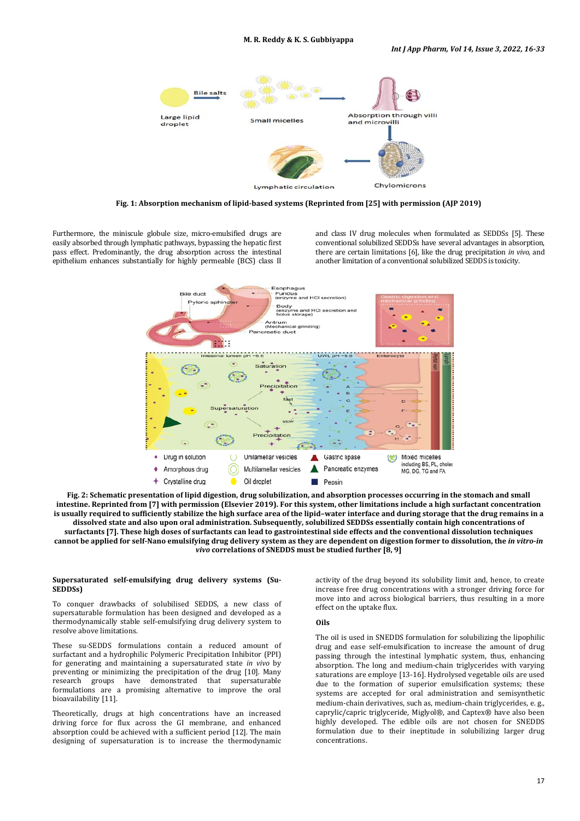

**Fig. 1: Absorption mechanism of lipid-based systems (Reprinted from [25] with permission (AJP 2019)**

Furthermore, the miniscule globule size, micro-emulsified drugs are easily absorbed through lymphatic pathways, bypassing the hepatic first pass effect. Predominantly, the drug absorption across the intestinal epithelium enhances substantially for highly permeable (BCS) class II and class IV drug molecules when formulated as SEDDSs [5]. These conventional solubilized SEDDSs have several advantages in absorption, there are certain limitations [6], like the drug precipitation *in vivo*, and another limitation of a conventional solubilized SEDDS is toxicity.



**Fig. 2: Schematic presentation of lipid digestion, drug solubilization, and absorption processes occurring in the stomach and small intestine. Reprinted from [7] with permission (Elsevier 2019). For this system, other limitations include a high surfactant concentration is usually required to sufficiently stabilize the high surface area of the lipid–water interface and during storage that the drug remains in a dissolved state and also upon oral administration. Subsequently, solubilized SEDDSs essentially contain high concentrations of surfactants [7]. These high doses of surfactants can lead to gastrointestinal side effects and the conventional dissolution techniques cannot be applied for self-Nano emulsifying drug delivery system as they are dependent on digestion former to dissolution, the** *in vitro***-***in vivo* **correlations of SNEDDS must be studied further [8, 9]**

# **Supersaturated self-emulsifying drug delivery systems (Su-SEDDSs)**

To conquer drawbacks of solubilised SEDDS, a new class of supersaturable formulation has been designed and developed as a thermodynamically stable self-emulsifying drug delivery system to resolve above limitations.

These su-SEDDS formulations contain a reduced amount of surfactant and a hydrophilic Polymeric Precipitation Inhibitor (PPI) for generating and maintaining a supersaturated state *in vivo* by preventing or minimizing the precipitation of the drug [10]. Many research groups have demonstrated that supersaturable formulations are a promising alternative to improve the oral bioavailability [11].

Theoretically, drugs at high concentrations have an increased driving force for flux across the GI membrane, and enhanced absorption could be achieved with a sufficient period [12]. The main designing of supersaturation is to increase the thermodynamic

activity of the drug beyond its solubility limit and, hence, to create increase free drug concentrations with a stronger driving force for move into and across biological barriers, thus resulting in a more effect on the uptake flux.

# **Oils**

The oil is used in SNEDDS formulation for solubilizing the lipophilic drug and ease self-emulsification to increase the amount of drug passing through the intestinal lymphatic system, thus, enhancing absorption. The long and medium-chain triglycerides with varying saturations are employe [13-16]. Hydrolysed vegetable oils are used due to the formation of superior emulsification systems; these systems are accepted for oral administration and semisynthetic medium-chain derivatives, such as, medium-chain triglycerides, e. g., caprylic/capric triglyceride, Miglyol®, and Captex® have also been highly developed. The edible oils are not chosen for SNEDDS formulation due to their ineptitude in solubilizing larger drug concentrations.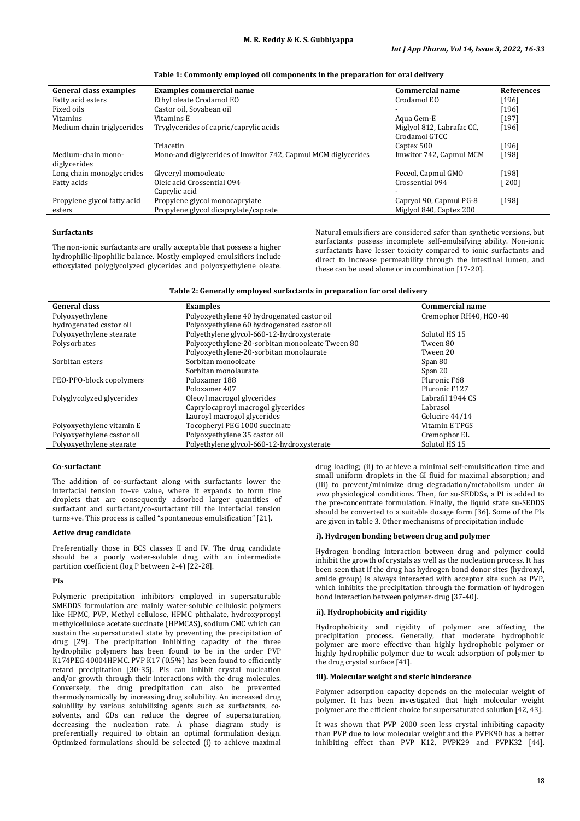| <b>General class examples</b> | <b>Examples commercial name</b>                               | <b>Commercial name</b>    | <b>References</b>   |
|-------------------------------|---------------------------------------------------------------|---------------------------|---------------------|
| Fatty acid esters             | Ethyl oleate Crodamol EO                                      | Crodamol EO               | [196]               |
| Fixed oils                    | Castor oil, Soyabean oil                                      |                           | $[196]$             |
| Vitamins                      | Vitamins E                                                    | Aqua Gem-E                | [197]               |
| Medium chain triglycerides    | Tryglycerides of capric/caprylic acids                        | Miglyol 812, Labrafac CC, | [196]               |
|                               |                                                               | Crodamol GTCC             |                     |
|                               | Triacetin                                                     | Captex 500                | [196]               |
| Medium-chain mono-            | Mono-and diglycerides of Imwitor 742, Capmul MCM diglycerides | Imwitor 742, Capmul MCM   | [198]               |
| diglycerides                  |                                                               |                           |                     |
| Long chain monoglycerides     | Glyceryl momooleate                                           | Peceol, Capmul GMO        | [198]               |
| Fatty acids                   | Oleic acid Crossential 094                                    | Crossential 094           | $\lceil 200 \rceil$ |
|                               | Caprylic acid                                                 |                           |                     |
| Propylene glycol fatty acid   | Propylene glycol monocaprylate                                | Capryol 90, Capmul PG-8   | [198]               |
| esters                        | Propylene glycol dicaprylate/caprate                          | Miglyol 840, Captex 200   |                     |

**Table 1: Commonly employed oil components in the preparation for oral delivery**

# **Surfactants**

The non-ionic surfactants are orally acceptable that possess a higher hydrophilic-lipophilic balance. Mostly employed emulsifiers include ethoxylated polyglycolyzed glycerides and polyoxyethylene oleate. Natural emulsifiers are considered safer than synthetic versions, but surfactants possess incomplete self-emulsifying ability. Non-ionic surfactants have lesser toxicity compared to ionic surfactants and direct to increase permeability through the intestinal lumen, and these can be used alone or in combination [17-20].

#### **Table 2: Generally employed surfactants in preparation for oral delivery**

| <b>General class</b>       | <b>Examples</b>                                 | <b>Commercial name</b> |
|----------------------------|-------------------------------------------------|------------------------|
| Polyoxyethylene            | Polyoxyethylene 40 hydrogenated castor oil      | Cremophor RH40, HCO-40 |
| hydrogenated castor oil    | Polyoxyethylene 60 hydrogenated castor oil      |                        |
| Polyoxyethylene stearate   | Polyethylene glycol-660-12-hydroxysterate       | Solutol HS 15          |
| Polysorbates               | Polyoxyethylene-20-sorbitan monooleate Tween 80 | Tween 80               |
|                            | Polyoxyethylene-20-sorbitan monolaurate         | Tween 20               |
| Sorbitan esters            | Sorbitan monooleate                             | Span 80                |
|                            | Sorbitan monolaurate                            | Span 20                |
| PEO-PPO-block copolymers   | Poloxamer 188                                   | Pluronic F68           |
|                            | Poloxamer 407                                   | Pluronic F127          |
| Polyglycolyzed glycerides  | Oleoyl macrogol glycerides                      | Labrafil 1944 CS       |
|                            | Caprylocaproyl macrogol glycerides              | Labrasol               |
|                            | Lauroyl macrogol glycerides                     | Gelucire 44/14         |
| Polyoxyethylene vitamin E  | Tocopheryl PEG 1000 succinate                   | Vitamin E TPGS         |
| Polyoxyethylene castor oil | Polyoxyethylene 35 castor oil                   | Cremophor EL           |
| Polyoxyethylene stearate   | Polyethylene glycol-660-12-hydroxysterate       | Solutol HS 15          |

#### **Co-surfactant**

The addition of co-surfactant along with surfactants lower the interfacial tension to–ve value, where it expands to form fine droplets that are consequently adsorbed larger quantities of surfactant and surfactant/co-surfactant till the interfacial tension turns+ve. This process is called "spontaneous emulsification" [21].

#### **Active drug candidate**

Preferentially those in BCS classes II and IV. The drug candidate should be a poorly water-soluble drug with an intermediate partition coefficient (log P between 2-4) [22-28].

# **PIs**

Polymeric precipitation inhibitors employed in supersaturable SMEDDS formulation are mainly water-soluble cellulosic polymers like HPMC, PVP, Methyl cellulose, HPMC phthalate, hydroxypropyl methylcellulose acetate succinate (HPMCAS), sodium CMC which can sustain the supersaturated state by preventing the precipitation of drug [29]. The precipitation inhibiting capacity of the three hydrophilic polymers has been found to be in the order PVP K174PEG 40004HPMC. PVP K17 (0.5%) has been found to efficiently retard precipitation [30-35]. PIs can inhibit crystal nucleation and/or growth through their interactions with the drug molecules. Conversely, the drug precipitation can also be prevented thermodynamically by increasing drug solubility. An increased drug solubility by various solubilizing agents such as surfactants, cosolvents, and CDs can reduce the degree of supersaturation, decreasing the nucleation rate. A phase diagram study is preferentially required to obtain an optimal formulation design. Optimized formulations should be selected (i) to achieve maximal

drug loading; (ii) to achieve a minimal self-emulsification time and small uniform droplets in the GI fluid for maximal absorption; and (iii) to prevent/minimize drug degradation/metabolism under *in vivo* physiological conditions. Then, for su-SEDDSs, a PI is added to the pre-concentrate formulation. Finally, the liquid state su-SEDDS should be converted to a suitable dosage form [36]. Some of the Pls are given in table 3. Other mechanisms of precipitation include

#### **i). Hydrogen bonding between drug and polymer**

Hydrogen bonding interaction between drug and polymer could inhibit the growth of crystals as well as the nucleation process. It has been seen that if the drug has hydrogen bond donor sites (hydroxyl, amide group) is always interacted with acceptor site such as PVP, which inhibits the precipitation through the formation of hydrogen bond interaction between polymer-drug [37-40].

#### **ii). Hydrophobicity and rigidity**

Hydrophobicity and rigidity of polymer are affecting the precipitation process. Generally, that moderate hydrophobic polymer are more effective than highly hydrophobic polymer or highly hydrophilic polymer due to weak adsorption of polymer to the drug crystal surface [41].

# **iii). Molecular weight and steric hinderance**

Polymer adsorption capacity depends on the molecular weight of polymer. It has been investigated that high molecular weight polymer are the efficient choice for supersaturated solution [42, 43].

It was shown that PVP 2000 seen less crystal inhibiting capacity than PVP due to low molecular weight and the PVPK90 has a better inhibiting effect than PVP K12, PVPK29 and PVPK32 [44].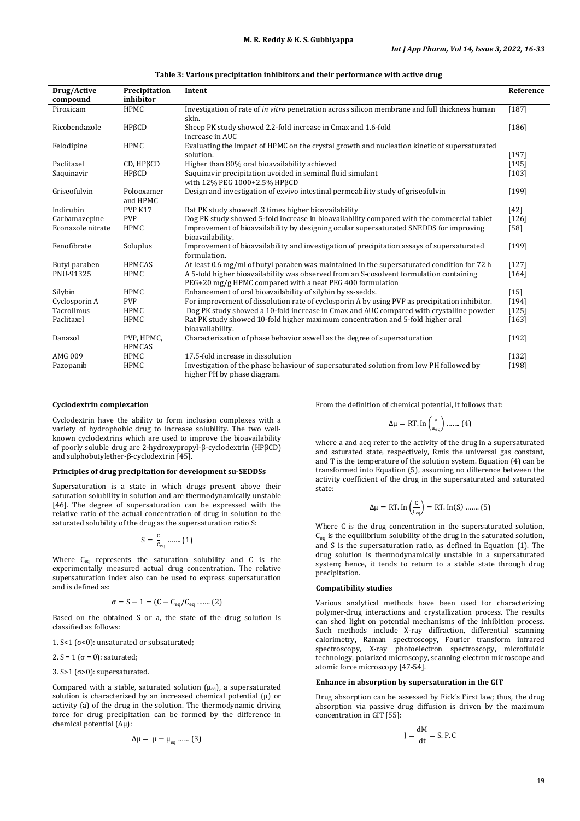| Drug/Active<br>compound | Precipitation<br>inhibitor  | Intent                                                                                                                                               | Reference |
|-------------------------|-----------------------------|------------------------------------------------------------------------------------------------------------------------------------------------------|-----------|
| Piroxicam               | <b>HPMC</b>                 | Investigation of rate of <i>in vitro</i> penetration across silicon membrane and full thickness human<br>skin.                                       | [187]     |
| Ricobendazole           | HPBCD                       | Sheep PK study showed 2.2-fold increase in Cmax and 1.6-fold<br>increase in AUC                                                                      | $[186]$   |
| Felodipine              | <b>HPMC</b>                 | Evaluating the impact of HPMC on the crystal growth and nucleation kinetic of supersaturated<br>solution.                                            | [197]     |
| Paclitaxel              | CD, HPBCD                   | Higher than 80% oral bioavailability achieved                                                                                                        | [195]     |
| Saquinavir              | HPßCD                       | Saquinavir precipitation avoided in seminal fluid simulant<br>with 12% PEG 1000+2.5% HPBCD                                                           | $[103]$   |
| Griseofulvin            | Polooxamer<br>and HPMC      | Design and investigation of exvivo intestinal permeability study of griseofulvin                                                                     | [199]     |
| Indirubin               | PVP K17                     | Rat PK study showed 1.3 times higher bioavailability                                                                                                 | $[42]$    |
| Carbamazepine           | <b>PVP</b>                  | Dog PK study showed 5-fold increase in bioavailability compared with the commercial tablet                                                           | $[126]$   |
| Econazole nitrate       | <b>HPMC</b>                 | Improvement of bioavailability by designing ocular supersaturated SNEDDS for improving<br>bioavailability.                                           | $[58]$    |
| Fenofibrate             | Soluplus                    | Improvement of bioavailability and investigation of precipitation assays of supersaturated<br>formulation.                                           | [199]     |
| Butyl paraben           | <b>HPMCAS</b>               | At least 0.6 mg/ml of butyl paraben was maintained in the supersaturated condition for 72 h                                                          | $[127]$   |
| PNU-91325               | <b>HPMC</b>                 | A 5-fold higher bioavailability was observed from an S-cosolvent formulation containing<br>PEG+20 mg/g HPMC compared with a neat PEG 400 formulation | $[164]$   |
| Silybin                 | <b>HPMC</b>                 | Enhancement of oral bioavailability of silybin by ss-sedds.                                                                                          | $[15]$    |
| Cyclosporin A           | <b>PVP</b>                  | For improvement of dissolution rate of cyclosporin A by using PVP as precipitation inhibitor.                                                        | [194]     |
| Tacrolimus              | <b>HPMC</b>                 | Dog PK study showed a 10-fold increase in Cmax and AUC compared with crystalline powder                                                              | $[125]$   |
| Paclitaxel              | <b>HPMC</b>                 | Rat PK study showed 10-fold higher maximum concentration and 5-fold higher oral<br>bioavailability.                                                  | $[163]$   |
| Danazol                 | PVP, HPMC,<br><b>HPMCAS</b> | Characterization of phase behavior aswell as the degree of supersaturation                                                                           | [192]     |
| AMG 009                 | <b>HPMC</b>                 | 17.5-fold increase in dissolution                                                                                                                    | $[132]$   |
| Pazopanib               | HPMC                        | Investigation of the phase behaviour of supersaturated solution from low PH followed by<br>higher PH by phase diagram.                               | [198]     |

#### **Table 3: Various precipitation inhibitors and their performance with active drug**

#### **Cyclodextrin complexation**

Cyclodextrin have the ability to form inclusion complexes with a variety of hydrophobic drug to increase solubility. The two wellknown cyclodextrins which are used to improve the bioavailability of poorly soluble drug are 2-hydroxypropyl-β-cyclodextrin (HPβCD) and sulphobutylether-β-cyclodextrin [45].

#### **Principles of drug precipitation for development su-SEDDSs**

Supersaturation is a state in which drugs present above their saturation solubility in solution and are thermodynamically unstable [46]. The degree of supersaturation can be expressed with the relative ratio of the actual concentration of drug in solution to the saturated solubility of the drug as the supersaturation ratio S:

$$
S = \frac{c}{c_{eq}} \dots (1)
$$

Where Ceq represents the saturation solubility and C is the experimentally measured actual drug concentration. The relative supersaturation index also can be used to express supersaturation and is defined as:

$$
\sigma = S-1 = (C-C_{eq}/C_{eq}\;....\;.(2)
$$

Based on the obtained S or a, the state of the drug solution is classified as follows:

1. S<1 ( $σ$ <0): unsaturated or subsaturated;

2. S = 1 ( $\sigma$  = 0): saturated;

3. S>1 ( $\sigma$ >0): supersaturated.

Compared with a stable, saturated solution  $(\mu_{eq})$ , a supersaturated solution is characterized by an increased chemical potential  $(\mu)$  or activity (a) of the drug in the solution. The thermodynamic driving force for drug precipitation can be formed by the difference in chemical potential (Δµ):

$$
\Delta \mu = \mu - \mu_{\text{eq}} \dots (3)
$$

From the definition of chemical potential, it follows that:

$$
\Delta\mu=\text{RT.}\ln\left(\frac{a}{a_{eq}}\right)......\left(4\right)
$$

where a and aeq refer to the activity of the drug in a supersaturated and saturated state, respectively, Rmis the universal gas constant, and T is the temperature of the solution system. Equation (4) can be transformed into Equation (5), assuming no difference between the activity coefficient of the drug in the supersaturated and saturated state:

$$
\Delta \mu = RT \cdot \ln \left( \frac{c}{c_{eq}} \right) = RT \cdot \ln(S) \dots \dots \tag{5}
$$

Where C is the drug concentration in the supersaturated solution,  $C_{eq}$  is the equilibrium solubility of the drug in the saturated solution, and S is the supersaturation ratio, as defined in Equation (1). The drug solution is thermodynamically unstable in a supersaturated system; hence, it tends to return to a stable state through drug precipitation.

### **Compatibility studies**

Various analytical methods have been used for characterizing polymer-drug interactions and crystallization process. The results can shed light on potential mechanisms of the inhibition process. Such methods include X-ray diffraction, differential scanning calorimetry, Raman spectroscopy, Fourier transform infrared spectroscopy, X-ray photoelectron spectroscopy, microfluidic technology, polarized microscopy, scanning electron microscope and atomic force microscopy [47-54].

# **Enhance in absorption by supersaturation in the GIT**

Drug absorption can be assessed by Fick's First law; thus, the drug absorption via passive drug diffusion is driven by the maximum concentration in GIT [55]:

$$
J = \frac{dM}{dt} = S.P.C
$$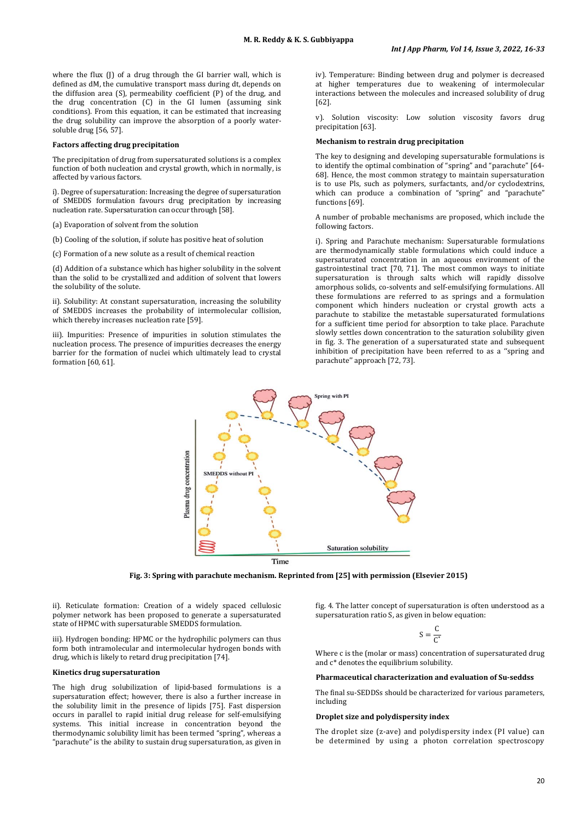where the flux (J) of a drug through the GI barrier wall, which is defined as dM, the cumulative transport mass during dt, depends on the diffusion area (S), permeability coefficient (P) of the drug, and the drug concentration (C) in the GI lumen (assuming sink conditions). From this equation, it can be estimated that increasing the drug solubility can improve the absorption of a poorly watersoluble drug [56, 57].

#### **Factors affecting drug precipitation**

The precipitation of drug from supersaturated solutions is a complex function of both nucleation and crystal growth, which in normally, is affected by various factors.

i). Degree of supersaturation: Increasing the degree of supersaturation of SMEDDS formulation favours drug precipitation by increasing nucleation rate. Supersaturation can occur through [58].

(a) Evaporation of solvent from the solution

(b) Cooling of the solution, if solute has positive heat of solution

(c) Formation of a new solute as a result of chemical reaction

(d) Addition of a substance which has higher solubility in the solvent than the solid to be crystallized and addition of solvent that lowers the solubility of the solute.

ii). Solubility: At constant supersaturation, increasing the solubility of SMEDDS increases the probability of intermolecular collision, which thereby increases nucleation rate [59].

iii). Impurities: Presence of impurities in solution stimulates the nucleation process. The presence of impurities decreases the energy barrier for the formation of nuclei which ultimately lead to crystal formation [60, 61].

iv). Temperature: Binding between drug and polymer is decreased at higher temperatures due to weakening of intermolecular interactions between the molecules and increased solubility of drug [62].

v). Solution viscosity: Low solution viscosity favors drug precipitation [63].

#### **Mechanism to restrain drug precipitation**

The key to designing and developing supersaturable formulations is to identify the optimal combination of "spring" and "parachute" [64- 68]. Hence, the most common strategy to maintain supersaturation is to use Pls, such as polymers, surfactants, and/or cyclodextrins, which can produce a combination of "spring" and "parachute" functions [69].

A number of probable mechanisms are proposed, which include the following factors.

i). Spring and Parachute mechanism: Supersaturable formulations are thermodynamically stable formulations which could induce a supersaturated concentration in an aqueous environment of the gastrointestinal tract [70, 71]. The most common ways to initiate supersaturation is through salts which will rapidly dissolve amorphous solids, co-solvents and self-emulsifying formulations. All these formulations are referred to as springs and a formulation component which hinders nucleation or crystal growth acts a parachute to stabilize the metastable supersaturated formulations for a sufficient time period for absorption to take place. Parachute slowly settles down concentration to the saturation solubility given in fig. 3. The generation of a supersaturated state and subsequent inhibition of precipitation have been referred to as a ''spring and parachute'' approach [72, 73].



**Fig. 3: Spring with parachute mechanism. Reprinted from [25] with permission (Elsevier 2015)**

ii). Reticulate formation: Creation of a widely spaced cellulosic polymer network has been proposed to generate a supersaturated state of HPMC with supersaturable SMEDDS formulation.

iii). Hydrogen bonding: HPMC or the hydrophilic polymers can thus form both intramolecular and intermolecular hydrogen bonds with drug, which is likely to retard drug precipitation [74].

#### **Kinetics drug supersaturation**

The high drug solubilization of lipid-based formulations is a supersaturation effect; however, there is also a further increase in the solubility limit in the presence of lipids [75]. Fast dispersion occurs in parallel to rapid initial drug release for self-emulsifying systems. This initial increase in concentration beyond the thermodynamic solubility limit has been termed "spring", whereas a "parachute" is the ability to sustain drug supersaturation, as given in

fig. 4. The latter concept of supersaturation is often understood as a supersaturation ratio S, as given in below equation:

$$
S = \frac{C}{C^*}
$$

Where c is the (molar or mass) concentration of supersaturated drug and c\* denotes the equilibrium solubility.

#### **Pharmaceutical characterization and evaluation of Su-seddss**

The final su-SEDDSs should be characterized for various parameters, including

### **Droplet size and polydispersity index**

The droplet size (z-ave) and polydispersity index (PI value) can be determined by using a photon correlation spectroscopy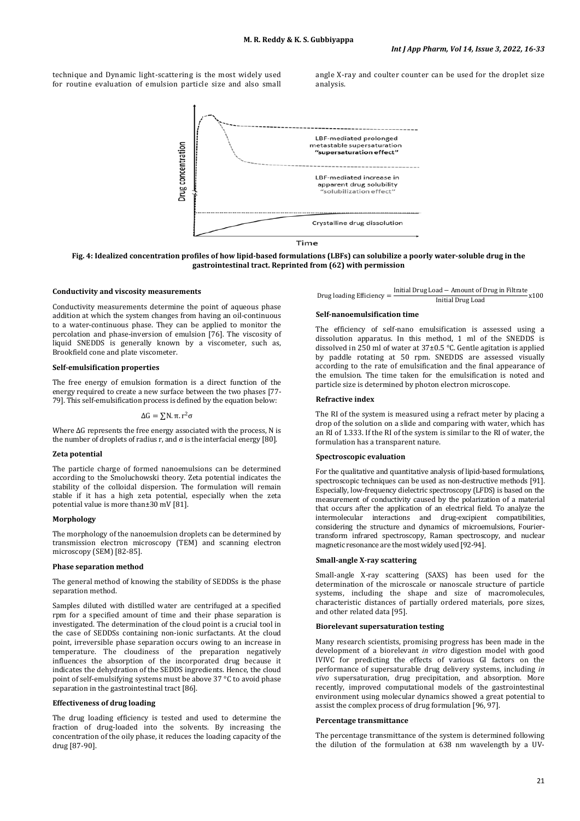technique and Dynamic light-scattering is the most widely used for routine evaluation of emulsion particle size and also small angle X-ray and coulter counter can be used for the droplet size analysis.



**Fig. 4: Idealized concentration profiles of how lipid-based formulations (LBFs) can solubilize a poorly water-soluble drug in the gastrointestinal tract. Reprinted from (62) with permission**

#### **Conductivity and viscosity measurements**

Conductivity measurements determine the point of aqueous phase addition at which the system changes from having an oil-continuous to a water-continuous phase. They can be applied to monitor the percolation and phase-inversion of emulsion [76]. The viscosity of liquid SNEDDS is generally known by a viscometer, such as, Brookfield cone and plate viscometer.

# **Self-emulsification properties**

The free energy of emulsion formation is a direct function of the energy required to create a new surface between the two phases [77- 79]. This self-emulsification process is defined by the equation below:

 $\Delta G = \Sigma N$ , π,  $r^2 \sigma$ 

Where  $\Delta G$  represents the free energy associated with the process, N is the number of droplets of radius r, and σ is the interfacial energy [80].

#### **Zeta potential**

The particle charge of formed nanoemulsions can be determined according to the Smoluchowski theory. Zeta potential indicates the stability of the colloidal dispersion. The formulation will remain stable if it has a high zeta potential, especially when the zeta potential value is more than±30 mV [81].

#### **Morphology**

The morphology of the nanoemulsion droplets can be determined by transmission electron microscopy (TEM) and scanning electron microscopy (SEM) [82-85].

#### **Phase separation method**

The general method of knowing the stability of SEDDSs is the phase separation method.

Samples diluted with distilled water are centrifuged at a specified rpm for a specified amount of time and their phase separation is investigated. The determination of the cloud point is a crucial tool in the case of SEDDSs containing non-ionic surfactants. At the cloud point, irreversible phase separation occurs owing to an increase in temperature. The cloudiness of the preparation negatively influences the absorption of the incorporated drug because it indicates the dehydration of the SEDDS ingredients. Hence, the cloud point of self-emulsifying systems must be above 37 °C to avoid phase separation in the gastrointestinal tract [86].

#### **Effectiveness of drug loading**

The drug loading efficiency is tested and used to determine the fraction of drug-loaded into the solvents. By increasing the concentration of the oily phase, it reduces the loading capacity of the drug [87-90].

Drug loading Efficiency =  $\frac{\text{Initial Drug Load} - \text{Amount of Drug in Filter}}{\text{Initial Drug Load}}$  x100

# **Self-nanoemulsification time**

The efficiency of self-nano emulsification is assessed using a dissolution apparatus. In this method, 1 ml of the SNEDDS is dissolved in 250 ml of water at  $37\pm0.5$  °C. Gentle agitation is applied by paddle rotating at 50 rpm. SNEDDS are assessed visually according to the rate of emulsification and the final appearance of the emulsion. The time taken for the emulsification is noted and particle size is determined by photon electron microscope.

#### **Refractive index**

The RI of the system is measured using a refract meter by placing a drop of the solution on a slide and comparing with water, which has an RI of 1.333. If the RI of the system is similar to the RI of water, the formulation has a transparent nature.

## **Spectroscopic evaluation**

For the qualitative and quantitative analysis of lipid-based formulations, spectroscopic techniques can be used as non-destructive methods [91]. Especially, low-frequency dielectric spectroscopy (LFDS) is based on the measurement of conductivity caused by the polarization of a material that occurs after the application of an electrical field. To analyze the intermolecular interactions and drug-excipient compatibilities, considering the structure and dynamics of microemulsions, Fouriertransform infrared spectroscopy, Raman spectroscopy, and nuclear magnetic resonance are the most widely used [92-94].

## **Small-angle X-ray scattering**

Small-angle X-ray scattering (SAXS) has been used for the determination of the microscale or nanoscale structure of particle systems, including the shape and size of macromolecules, characteristic distances of partially ordered materials, pore sizes, and other related data [95].

## **Biorelevant supersaturation testing**

Many research scientists, promising progress has been made in the development of a biorelevant *in vitro* digestion model with good IVIVC for predicting the effects of various GI factors on the performance of supersaturable drug delivery systems, including *in vivo* supersaturation, drug precipitation, and absorption. More recently, improved computational models of the gastrointestinal environment using molecular dynamics showed a great potential to assist the complex process of drug formulation [96, 97].

#### **Percentage transmittance**

The percentage transmittance of the system is determined following the dilution of the formulation at 638 nm wavelength by a UV-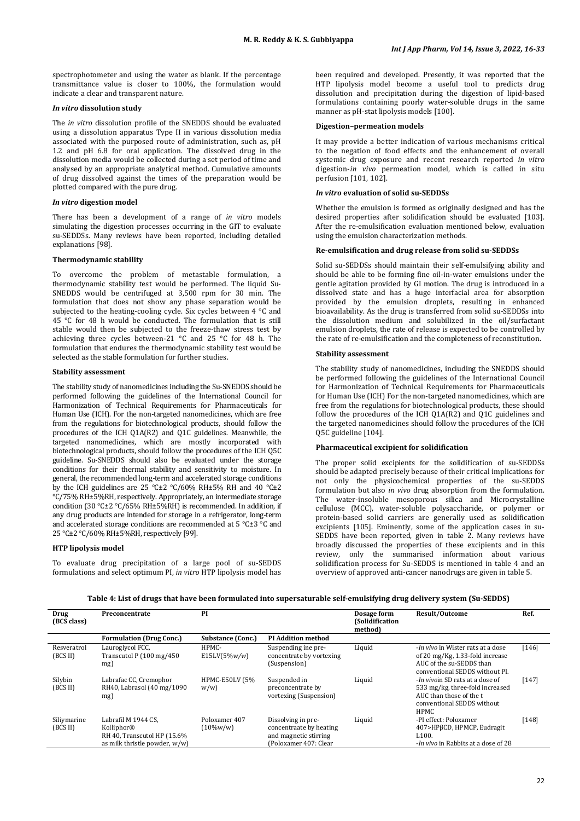spectrophotometer and using the water as blank. If the percentage transmittance value is closer to 100%, the formulation would indicate a clear and transparent nature.

## *In vitro* **dissolution study**

The *in vitro* dissolution profile of the SNEDDS should be evaluated using a dissolution apparatus Type II in various dissolution media associated with the purposed route of administration, such as, pH 1.2 and pH 6.8 for oral application. The dissolved drug in the dissolution media would be collected during a set period of time and analysed by an appropriate analytical method. Cumulative amounts of drug dissolved against the times of the preparation would be plotted compared with the pure drug.

## *In vitro* **digestion model**

There has been a development of a range of *in vitro* models simulating the digestion processes occurring in the GIT to evaluate su-SEDDSs. Many reviews have been reported, including detailed explanations [98].

## **Thermodynamic stability**

To overcome the problem of metastable formulation, a thermodynamic stability test would be performed. The liquid Su-SNEDDS would be centrifuged at 3,500 rpm for 30 min. The formulation that does not show any phase separation would be subjected to the heating-cooling cycle. Six cycles between 4 °C and 45 °C for 48 h would be conducted. The formulation that is still stable would then be subjected to the freeze-thaw stress test by achieving three cycles between-21 °C and 25 °C for 48 h. The formulation that endures the thermodynamic stability test would be selected as the stable formulation for further studies.

## **Stability assessment**

The stability study of nanomedicines including the Su-SNEDDS should be performed following the guidelines of the International Council for Harmonization of Technical Requirements for Pharmaceuticals for Human Use (ICH). For the non-targeted nanomedicines, which are free from the regulations for biotechnological products, should follow the procedures of the ICH Q1A(R2) and Q1C guidelines. Meanwhile, the targeted nanomedicines, which are mostly incorporated with biotechnological products, should follow the procedures of the ICH Q5C guideline. Su-SNEDDS should also be evaluated under the storage conditions for their thermal stability and sensitivity to moisture. In general, the recommended long-term and accelerated storage conditions by the ICH guidelines are  $25^{\circ}$ C $\pm$ 2 °C/60% RH $\pm$ 5% RH and 40 °C $\pm$ 2 °C/75% RH±5%RH, respectively. Appropriately, an intermediate storage condition (30 °C±2 °C/65% RH±5%RH) is recommended. In addition, if any drug products are intended for storage in a refrigerator, long-term and accelerated storage conditions are recommended at 5 °C±3 °C and 25 °C±2 °C/60% RH±5%RH, respectively [99].

# **HTP lipolysis model**

To evaluate drug precipitation of a large pool of su-SEDDS formulations and select optimum PI, *in vitro* HTP lipolysis model has been required and developed. Presently, it was reported that the HTP lipolysis model become a useful tool to predicts drug dissolution and precipitation during the digestion of lipid-based formulations containing poorly water-soluble drugs in the same manner as pH-stat lipolysis models [100].

## **Digestion–permeation models**

It may provide a better indication of various mechanisms critical to the negation of food effects and the enhancement of overall systemic drug exposure and recent research reported *in vitro* digestion-*in vivo* permeation model, which is called in situ perfusion [101, 102].

## *In vitro* **evaluation of solid su-SEDDSs**

Whether the emulsion is formed as originally designed and has the desired properties after solidification should be evaluated [103]. After the re-emulsification evaluation mentioned below, evaluation using the emulsion characterization methods.

# **Re-emulsification and drug release from solid su-SEDDSs**

Solid su-SEDDSs should maintain their self-emulsifying ability and should be able to be forming fine oil-in-water emulsions under the gentle agitation provided by GI motion. The drug is introduced in a dissolved state and has a huge interfacial area for absorption provided by the emulsion droplets, resulting in enhanced bioavailability. As the drug is transferred from solid su-SEDDSs into the dissolution medium and solubilized in the oil/surfactant emulsion droplets, the rate of release is expected to be controlled by the rate of re-emulsification and the completeness of reconstitution.

# **Stability assessment**

The stability study of nanomedicines, including the SNEDDS should be performed following the guidelines of the International Council for Harmonization of Technical Requirements for Pharmaceuticals for Human Use (ICH) For the non-targeted nanomedicines, which are free from the regulations for biotechnological products, these should follow the procedures of the ICH Q1A(R2) and Q1C guidelines and the targeted nanomedicines should follow the procedures of the ICH Q5C guideline [104].

## **Pharmaceutical excipient for solidification**

The proper solid excipients for the solidification of su-SEDDSs should be adapted precisely because of their critical implications for not only the physicochemical properties of the su-SEDDS formulation but also *in vivo* drug absorption from the formulation. The water-insoluble mesoporous silica and Microcrystalline cellulose (MCC), water-soluble polysaccharide, or polymer or protein-based solid carriers are generally used as solidification excipients [105]. Eminently, some of the application cases in su-SEDDS have been reported, given in table 2. Many reviews have broadly discussed the properties of these excipients and in this review, only the summarised information about various solidification process for Su-SEDDS is mentioned in table 4 and an overview of approved anti-cancer nanodrugs are given in table 5.

**Table 4: List of drugs that have been formulated into supersaturable self-emulsifying drug delivery system (Su-SEDDS)**

| Drug<br>(BCS class)     | Preconcentrate                                                                                    | PI                                   |                                                                                                 | Dosage form<br>(Solidification<br>method) | <b>Result/Outcome</b>                                                                                                                              | Ref.    |
|-------------------------|---------------------------------------------------------------------------------------------------|--------------------------------------|-------------------------------------------------------------------------------------------------|-------------------------------------------|----------------------------------------------------------------------------------------------------------------------------------------------------|---------|
|                         | <b>Formulation (Drug Conc.)</b>                                                                   | Substance (Conc.)                    | <b>PI Addition method</b>                                                                       |                                           |                                                                                                                                                    |         |
| Resveratrol<br>(BCS II) | Lauroglycol FCC,<br>Transcutol $P(100 \text{ mg}/450$<br>mg)                                      | HPMC-<br>$E15LV(5\%w/w)$             | Suspending ine pre-<br>concentrate by vortexing<br>(Suspension)                                 | Liquid                                    | -In vivo in Wister rats at a dose<br>of 20 mg/Kg, 1.33-fold increase<br>AUC of the su-SEDDS than<br>conventional SEDDS without PI.                 | $[146]$ |
| Silybin<br>(BCS II)     | Labrafac CC, Cremophor<br>RH40, Labrasol (40 mg/1090)<br>mg)                                      | <b>HPMC-E50LV (5%)</b><br>w/w        | Suspended in<br>preconcentrate by<br>vortexing (Suspension)                                     | Liquid                                    | <i>-In vivo</i> in SD rats at a dose of<br>533 mg/kg, three-fold increased<br>AUC than those of the t<br>conventional SEDDS without<br><b>HPMC</b> | [147]   |
| Siliymarine<br>(BCS II) | Labrafil M 1944 CS.<br>Kolliphor®<br>RH 40, Transcutol HP (15.6%<br>as milk thristle powder, w/w) | Poloxamer 407<br>$(10\% \text{w/w})$ | Dissolving in pre-<br>concentraate by heating<br>and magnetic stirring<br>(Poloxamer 407: Clear | Liquid                                    | -PI effect: Poloxamer<br>407>HPβCD, HPMCP, Eudragit<br>L <sub>100</sub> .<br>- <i>In vivo</i> in Rabbits at a dose of 28                           | [148]   |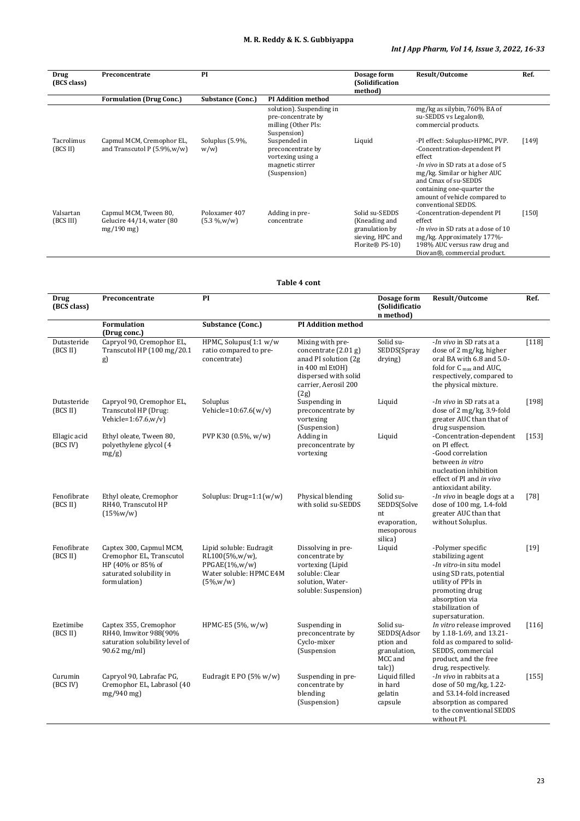# **M. R. Reddy & K. S. Gubbiyappa**

# *Int J App Pharm, Vol 14, Issue 3, 2022, 16-33*

| Drug<br>(BCS class)    | Preconcentrate                                                     | PI                                   |                                                                                            | Dosage form<br>(Solidification<br>method)                                                | Result/Outcome                                                                                                                                                                                                                                                       | Ref.    |
|------------------------|--------------------------------------------------------------------|--------------------------------------|--------------------------------------------------------------------------------------------|------------------------------------------------------------------------------------------|----------------------------------------------------------------------------------------------------------------------------------------------------------------------------------------------------------------------------------------------------------------------|---------|
|                        | <b>Formulation (Drug Conc.)</b>                                    | <b>Substance (Conc.)</b>             | <b>PI Addition method</b>                                                                  |                                                                                          |                                                                                                                                                                                                                                                                      |         |
|                        |                                                                    |                                      | solution). Suspending in<br>pre-concentrate by<br>milling (Other Pls:<br>Suspension)       |                                                                                          | mg/kg as silybin, 760% BA of<br>su-SEDDS vs Legalon®,<br>commercial products.                                                                                                                                                                                        |         |
| Tacrolimus<br>(BCS II) | Capmul MCM, Cremophor EL,<br>and Transcutol P $(5.9\%, w/w)$       | Soluplus (5.9%,<br>w/w               | Suspended in<br>preconcentrate by<br>vortexing using a<br>magnetic stirrer<br>(Suspension) | Liquid                                                                                   | -PI effect: Soluplus>HPMC, PVP.<br>-Concentration-dependent PI<br>effect<br>- <i>In vivo</i> in SD rats at a dose of 5<br>mg/kg. Similar or higher AUC<br>and Cmax of su-SEDDS<br>containing one-quarter the<br>amount of vehicle compared to<br>conventional SEDDS. | [149]   |
| Valsartan<br>(BCS III) | Capmul MCM, Tween 80,<br>Gelucire 44/14, water (80<br>$mg/190$ mg) | Poloxamer 407<br>$(5.3 \frac{M}{W})$ | Adding in pre-<br>concentrate                                                              | Solid su-SEDDS<br>(Kneading and<br>granulation by<br>sieving, HPC and<br>Florite® PS-10) | -Concentration-dependent PI<br>effect<br><i>-In vivo</i> in SD rats at a dose of 10<br>mg/kg. Approximately 177%-<br>198% AUC versus raw drug and<br>Diovan®, commercial product.                                                                                    | $[150]$ |

**Table 4 cont**

| Drug<br>(BCS class)      | Preconcentrate                                                                                                      | PI                                                                                                        |                                                                                                                                                | Dosage form<br>(Solidificatio<br>n method)                                | Result/Outcome                                                                                                                                                                                  | Ref.    |
|--------------------------|---------------------------------------------------------------------------------------------------------------------|-----------------------------------------------------------------------------------------------------------|------------------------------------------------------------------------------------------------------------------------------------------------|---------------------------------------------------------------------------|-------------------------------------------------------------------------------------------------------------------------------------------------------------------------------------------------|---------|
|                          | Formulation<br>(Drug conc.)                                                                                         | Substance (Conc.)                                                                                         | <b>PI Addition method</b>                                                                                                                      |                                                                           |                                                                                                                                                                                                 |         |
| Dutasteride<br>(BCS II)  | Capryol 90, Cremophor EL,<br>Transcutol HP (100 mg/20.1)<br>g)                                                      | HPMC, Solupus(1:1 w/w<br>ratio compared to pre-<br>concentrate)                                           | Mixing with pre-<br>concentrate $(2.01 g)$<br>anad PI solution (2g)<br>in 400 ml EtOH)<br>dispersed with solid<br>carrier, Aerosil 200<br>(2g) | Solid su-<br>SEDDS(Spray<br>drying)                                       | -In vivo in SD rats at a<br>dose of 2 mg/kg, higher<br>oral BA with 6.8 and 5.0-<br>fold for C max and AUC.<br>respectively, compared to<br>the physical mixture.                               | $[118]$ |
| Dutasteride<br>(BCS II)  | Capryol 90, Cremophor EL,<br>Transcutol HP (Drug:<br>Vehicle= $1:67.6$ , $w/v$ )                                    | Soluplus<br>Vehicle= $10:67.6(w/v)$                                                                       | Suspending in<br>preconcentrate by<br>vortexing<br>(Suspension)                                                                                | Liquid                                                                    | - <i>In vivo</i> in SD rats at a<br>dose of 2 mg/kg, 3.9-fold<br>greater AUC than that of<br>drug suspension.                                                                                   | [198]   |
| Ellagic acid<br>(BCS IV) | Ethyl oleate, Tween 80,<br>polyethylene glycol (4<br>$mg/g$ )                                                       | PVP K30 (0.5%, w/w)                                                                                       | Adding in<br>preconcentrate by<br>vortexing                                                                                                    | Liquid                                                                    | -Concentration-dependent<br>on PI effect.<br>-Good correlation<br>between in vitro<br>nucleation inhibition<br>effect of PI and in vivo<br>antioxidant ability.                                 | $[153]$ |
| Fenofibrate<br>(BCS II)  | Ethyl oleate, Cremophor<br>RH40, Transcutol HP<br>$(15\%w/w)$                                                       | Soluplus: $Drug=1:1(w/w)$                                                                                 | Physical blending<br>with solid su-SEDDS                                                                                                       | Solid su-<br>SEDDS(Solve<br>nt<br>evaporation,<br>mesoporous<br>silica)   | -In vivo in beagle dogs at a<br>dose of 100 mg, 1.4-fold<br>greater AUC than that<br>without Soluplus.                                                                                          | $[78]$  |
| Fenofibrate<br>(BCS II)  | Captex 300, Capmul MCM,<br>Cremophor EL, Transcutol<br>HP (40% or 85% of<br>saturated solubility in<br>formulation) | Lipid soluble: Eudragit<br>RL100(5%,w/w),<br>$PPGAE(1\%, w/w)$<br>Water soluble: HPMC E4M<br>$(5\%, w/w)$ | Dissolving in pre-<br>concentrate by<br>vortexing (Lipid<br>soluble: Clear<br>solution, Water-<br>soluble: Suspension)                         | Liquid                                                                    | -Polymer specific<br>stabilizing agent<br>-In vitro-in situ model<br>using SD rats, potential<br>utility of PPIs in<br>promoting drug<br>absorption via<br>stabilization of<br>supersaturation. | $[19]$  |
| Ezetimibe<br>(BCS II)    | Captex 355, Cremophor<br>RH40, Imwitor 988(90%<br>saturation solubility level of<br>$90.62 \,\mathrm{mg/ml}$        | HPMC-E5 (5%, w/w)                                                                                         | Suspending in<br>preconcentrate by<br>Cyclo-mixer<br>(Suspension                                                                               | Solid su-<br>SEDDS(Adsor<br>ption and<br>granulation,<br>MCC and<br>(talc | In vitro release improved<br>by 1.18-1.69, and 13.21-<br>fold as compared to solid-<br>SEDDS, commercial<br>product, and the free<br>drug, respectively.                                        | $[116]$ |
| Curumin<br>(BCS IV)      | Capryol 90, Labrafac PG,<br>Cremophor EL, Labrasol (40<br>$mg/940$ mg)                                              | Eudragit E PO (5% w/w)                                                                                    | Suspending in pre-<br>concentrate by<br>blending<br>(Suspension)                                                                               | Liquid filled<br>in hard<br>gelatin<br>capsule                            | -In vivo in rabbits at a<br>dose of 50 mg/kg, 1.22-<br>and 53.14-fold increased<br>absorption as compared<br>to the conventional SEDDS<br>without PI.                                           | [155]   |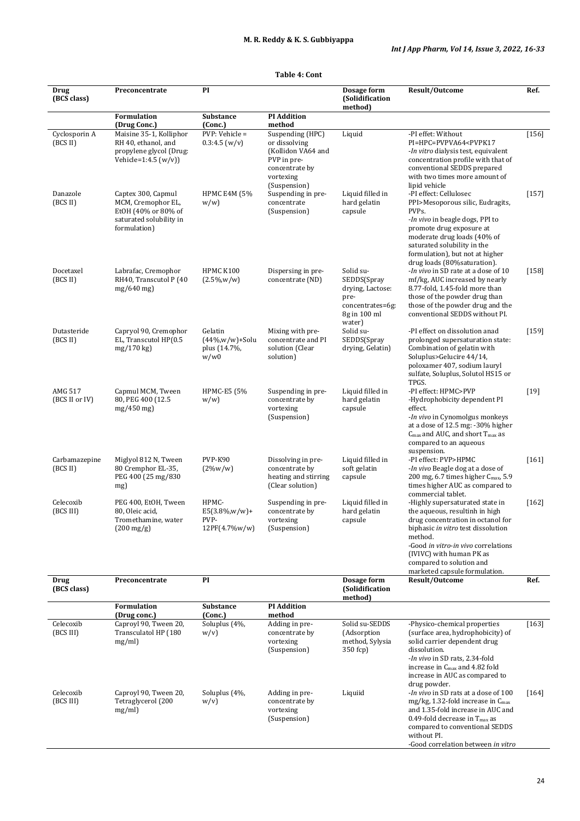| Drug                      | Preconcentrate                                                                                             | PI                                                     |                                                                                                                       | Dosage form                                                                                        | Result/Outcome                                                                                                                                                                                                                                                                          | Ref.    |
|---------------------------|------------------------------------------------------------------------------------------------------------|--------------------------------------------------------|-----------------------------------------------------------------------------------------------------------------------|----------------------------------------------------------------------------------------------------|-----------------------------------------------------------------------------------------------------------------------------------------------------------------------------------------------------------------------------------------------------------------------------------------|---------|
| (BCS class)               |                                                                                                            |                                                        |                                                                                                                       | (Solidification<br>method)                                                                         |                                                                                                                                                                                                                                                                                         |         |
|                           | <b>Formulation</b><br>(Drug Conc.)                                                                         | <b>Substance</b><br>(Conc.)                            | <b>PI Addition</b><br>method                                                                                          |                                                                                                    |                                                                                                                                                                                                                                                                                         |         |
| Cyclosporin A<br>(BCS II) | Maisine 35-1, Kolliphor<br>RH 40, ethanol, and<br>propylene glycol (Drug:<br>Vehicle=1:4.5 $(w/v)$         | PVP: Vehicle =<br>0.3:4.5(w/v)                         | Suspending (HPC)<br>or dissolving<br>(Kollidon VA64 and<br>PVP in pre-<br>concentrate by<br>vortexing<br>(Suspension) | Liquid                                                                                             | -PI effet: Without<br>PI=HPC=PVPVA64 <pvpk17<br>-<i>In vitro</i> dialysis test, equivalent<br/>concentration profile with that of<br/>conventional SEDDS prepared<br/>with two times more amount of<br/>lipid vehicle</pvpk17<br>                                                       | $[156]$ |
| Danazole<br>(BCS II)      | Captex 300, Capmul<br>MCM, Cremophor EL,<br>EtOH (40% or 80% of<br>saturated solubility in<br>formulation) | <b>HPMC E4M (5%)</b><br>w/w                            | Suspending in pre-<br>concentrate<br>(Suspension)                                                                     | Liquid filled in<br>hard gelatin<br>capsule                                                        | -PI effect: Cellulosec<br>PPI>Mesoporous silic, Eudragits,<br>PVPs.<br><i>-In vivo</i> in beagle dogs, PPI to<br>promote drug exposure at<br>moderate drug loads (40% of<br>saturated solubility in the<br>formulation), but not at higher<br>drug loads (80% saturation).              | $[157]$ |
| Docetaxel<br>(BCS II)     | Labrafac, Cremophor<br>RH40, Transcutol P (40<br>$mg/640$ mg)                                              | HPMC K100<br>$(2.5\%, w/w)$                            | Dispersing in pre-<br>concentrate (ND)                                                                                | Solid su-<br>SEDDS(Spray<br>drying, Lactose:<br>pre-<br>concentrates=6g:<br>8g in 100 ml<br>water) | -In vivo in SD rate at a dose of 10<br>mf/kg, AUC increased by nearly<br>8.77-fold, 1.45-fold more than<br>those of the powder drug than<br>those of the powder drug and the<br>conventional SEDDS without PI.                                                                          | $[158]$ |
| Dutasteride<br>(BCS II)   | Capryol 90, Cremophor<br>EL, Transcutol HP(0.5<br>mg/170 kg)                                               | Gelatin<br>(44%,w/w)+Solu<br>plus (14.7%,<br>w/w0      | Mixing with pre-<br>concentrate and PI<br>solution (Clear<br>solution)                                                | Solid su-<br>SEDDS(Spray<br>drying, Gelatin)                                                       | -PI effect on dissolution anad<br>prolonged supersaturation state:<br>Combination of gelatin with<br>Soluplus>Gelucire 44/14,<br>poloxamer 407, sodium lauryl<br>sulfate, Soluplus, Solutol HS15 or<br>TPGS.                                                                            | $[159]$ |
| AMG 517<br>(BCS II or IV) | Capmul MCM, Tween<br>80, PEG 400 (12.5)<br>$mg/450$ mg)                                                    | HPMC-E5 (5%<br>w/w                                     | Suspending in pre-<br>concentrate by<br>vortexing<br>(Suspension)                                                     | Liquid filled in<br>hard gelatin<br>capsule                                                        | -PI effect: HPMC>PVP<br>-Hydrophobicity dependent PI<br>effect.<br>- <i>In vivo</i> in Cynomolgus monkeys<br>at a dose of 12.5 mg: -30% higher<br>$C_{\text{max}}$ and AUC, and short $T_{\text{max}}$ as<br>compared to an aqueous<br>suspension.                                      | $[19]$  |
| Carbamazepine<br>(BCS II) | Miglyol 812 N, Tween<br>80 Cremphor EL-35,<br>PEG 400 (25 mg/830)<br>mg)                                   | PVP-K90<br>$(2\%w/w)$                                  | Dissolving in pre-<br>concentrate by<br>heating and stirring<br>(Clear solution)                                      | Liquid filled in<br>soft gelatin<br>capsule                                                        | -PI effect: PVP>HPMC<br>-In vivo Beagle dog at a dose of<br>200 mg, 6.7 times higher C <sub>max</sub> , 5.9<br>times higher AUC as compared to<br>commercial tablet.                                                                                                                    | $[161]$ |
| Celecoxib<br>(BCS III)    | PEG 400, EtOH, Tween<br>80, Oleic acid,<br>Tromethamine, water<br>$(200 \,\mathrm{mg/g})$                  | HPMC-<br>$E5(3.8\%, w/w)+$<br>PVP-<br>$12PF(4.7\%w/w)$ | Suspending in pre-<br>concentrate by<br>vortexing<br>(Suspension)                                                     | Liquid filled in<br>hard gelatin<br>capsule                                                        | -Highly supersaturated state in<br>the aqueous, resultinh in high<br>drug concentration in octanol for<br>biphasic in vitro test dissolution<br>method.<br>-Good in vitro-in vivo correlations<br>(IVIVC) with human PK as<br>compared to solution and<br>marketed capsule formulation. | $[162]$ |
| Drug<br>(BCS class)       | Preconcentrate                                                                                             | PI                                                     |                                                                                                                       | Dosage form<br>(Solidification<br>method)                                                          | Result/Outcome                                                                                                                                                                                                                                                                          | Ref.    |
|                           | <b>Formulation</b><br>(Drug conc.)                                                                         | Substance<br>(Conc.)                                   | <b>PI Addition</b><br>method                                                                                          |                                                                                                    |                                                                                                                                                                                                                                                                                         |         |
| Celecoxib<br>(BCS III)    | Caproyl 90, Tween 20,<br>Transculatol HP (180<br>mg/ml)                                                    | Soluplus (4%,<br>w/v                                   | Adding in pre-<br>concentrate by<br>vortexing<br>(Suspension)                                                         | Solid su-SEDDS<br>(Adsorption<br>method, Sylysia<br>350 fcp)                                       | -Physico-chemical properties<br>(surface area, hydrophobicity) of<br>solid carrier dependent drug<br>dissolution.<br>-In vivo in SD rats, 2.34-fold<br>increase in C <sub>max</sub> and 4.82 fold<br>increase in AUC as compared to<br>drug powder.                                     | $[163]$ |
| Celecoxib<br>(BCS III)    | Caproyl 90, Tween 20,<br>Tetraglycerol (200<br>mg/ml)                                                      | Soluplus (4%,<br>w/v                                   | Adding in pre-<br>concentrate by<br>vortexing<br>(Suspension)                                                         | Liquiid                                                                                            | -In vivo in SD rats at a dose of 100<br>mg/kg, 1.32-fold increase in $C_{\text{max}}$<br>and 1.35-fold increase in AUC and<br>0.49-fold decrease in $T_{\text{max}}$ as                                                                                                                 | $[164]$ |

# **Table 4: Cont**

compared to conventional SEDDS without PI. -Good correlation between *in vitro*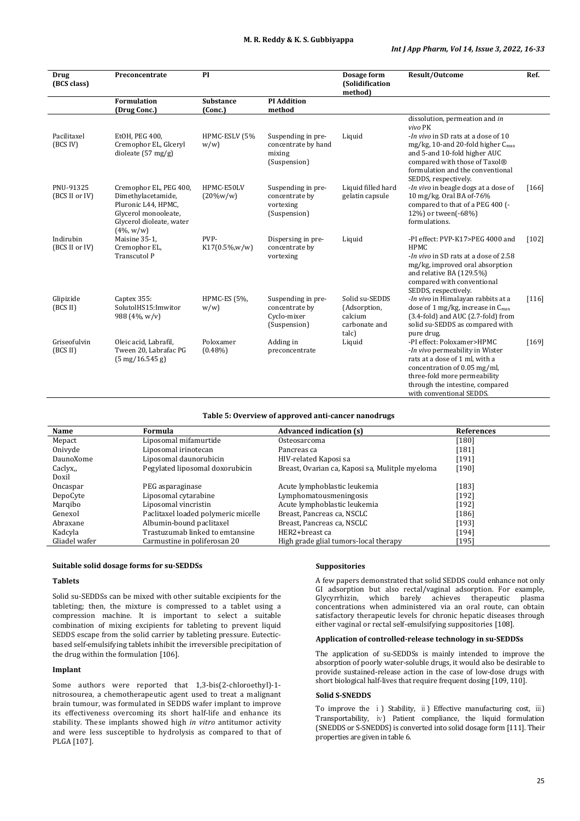| <b>Drug</b><br>(BCS class)  | Preconcentrate                                                                                    | PI                          |                                                                                   | Dosage form<br><b>(Solidification</b><br>method)                    | Result/Outcome                                                                                                                                                                                                                   | Ref.    |
|-----------------------------|---------------------------------------------------------------------------------------------------|-----------------------------|-----------------------------------------------------------------------------------|---------------------------------------------------------------------|----------------------------------------------------------------------------------------------------------------------------------------------------------------------------------------------------------------------------------|---------|
|                             | <b>Formulation</b><br>(Drug Conc.)                                                                | <b>Substance</b><br>(Conc.) | <b>PI</b> Addition<br>method                                                      |                                                                     |                                                                                                                                                                                                                                  |         |
| Pacilitaxel<br>(BCS IV)     | EtOH, PEG 400,<br>Cremophor EL, Glceryl<br>dioleate $(57 \text{ mg/g})$                           | HPMC-ESLV (5%<br>w/w        | Suspending in pre-<br>concentrate by hand<br>mixing                               | Liquid                                                              | dissolution, permeation and in<br>vivo PK<br>-In vivo in SD rats at a dose of 10<br>$mg/kg$ , 10-and 20-fold higher $C_{max}$<br>and 5-and 10-fold higher AUC                                                                    |         |
| PNU-91325<br>(BCS II or IV) | Cremophor EL, PEG 400,<br>Dimethylacetamide,<br>Pluronic L44, HPMC,<br>Glycerol monooleate,       | HPMC-E50LV<br>$(20\%w/w)$   | (Suspension)<br>Suspending in pre-<br>concentrate by<br>vortexing<br>(Suspension) | Liquid filled hard<br>gelatin capsule                               | compared with those of Taxol®<br>formulation and the conventional<br>SEDDS, respectively.<br>-In vivo in beagle dogs at a dose of<br>10 mg/kg. Oral BA of-76%<br>compared to that of a PEG 400 (-<br>12%) or tween(-68%)         | [166]   |
| Indirubin<br>(BCS II or IV) | Glycerol dioleate, water<br>$(4\%, w/w)$<br>Maisine 35-1,<br>Cremophor EL,<br><b>Transcutol P</b> | PVP-<br>$K17(0.5\%, w/w)$   | Dispersing in pre-<br>concentrate by<br>vortexing                                 | Liquid                                                              | formulations.<br>-PI effect: PVP-K17>PEG 4000 and<br>HPMC<br>- <i>In vivo</i> in SD rats at a dose of 2.58<br>mg/kg, improved oral absorption<br>and relative BA (129.5%)                                                        | $[102]$ |
| Glipizide<br>(BCS II)       | Captex 355:<br>SolutolHS15:Imwitor<br>988 (4%, w/y)                                               | HPMC-ES (5%,<br>w/w         | Suspending in pre-<br>concentrate by<br>Cyclo-mixer<br>(Suspension)               | Solid su-SEDDS<br>(Adsorption,<br>calcium<br>carbonate and<br>talc) | compared with conventional<br>SEDDS, respectively.<br>-In vivo in Himalayan rabbits at a<br>dose of 1 mg/kg, increase in $C_{\text{max}}$<br>(3.4-fold) and AUC (2.7-fold) from<br>solid su-SEDDS as compared with<br>pure drug. | [116]   |
| Griseofulvin<br>(BCS II)    | Oleic acid. Labrafil.<br>Tween 20, Labrafac PG<br>$(5 \text{ mg}/16.545 \text{ g})$               | Poloxamer<br>$(0.48\%)$     | Adding in<br>preconcentrate                                                       | Liquid                                                              | -PI effect: Poloxamer>HPMC<br>-In vivo permeability in Wister<br>rats at a dose of 1 ml, with a<br>concentration of 0.05 mg/ml,<br>three-fold more permeability<br>through the intestine, compared<br>with conventional SEDDS.   | [169]   |

#### **Table 5: Overview of approved anti-cancer nanodrugs**

| Name          | Formula                             | <b>Advanced indication (s)</b>                  | <b>References</b> |
|---------------|-------------------------------------|-------------------------------------------------|-------------------|
| Mepact        | Liposomal mifamurtide               | Osteosarcoma                                    | $[180]$           |
| Onivyde       | Liposomal irinotecan                | Pancreas ca                                     | $[181]$           |
| DaunoXome     | Liposomal daunorubicin              | HIV-related Kaposi sa                           | [191]             |
| Caclyx,       | Pegylated liposomal doxorubicin     | Breast, Ovarian ca, Kaposi sa, Mulitple myeloma | $[190]$           |
| Doxil         |                                     |                                                 |                   |
| Oncaspar      | PEG asparaginase                    | Acute lymphoblastic leukemia                    | $[183]$           |
| DepoCyte      | Liposomal cytarabine                | Lymphomatousmeningosis                          | $[192]$           |
| Marqibo       | Liposomal vincristin                | Acute lymphoblastic leukemia                    | $[192]$           |
| Genexol       | Paclitaxel loaded polymeric micelle | Breast, Pancreas ca, NSCLC                      | $[186]$           |
| Abraxane      | Albumin-bound paclitaxel            | Breast, Pancreas ca, NSCLC                      | [193]             |
| Kadcyla       | Trastuzumab linked to emtansine     | HER2+breast ca                                  | $[194]$           |
| Gliadel wafer | Carmustine in poliferosan 20        | High grade glial tumors-local therapy           | [195]             |

#### **Suitable solid dosage forms for su-SEDDSs**

#### **Tablets**

Solid su-SEDDSs can be mixed with other suitable excipients for the tableting; then, the mixture is compressed to a tablet using a compression machine. It is important to select a suitable combination of mixing excipients for tableting to prevent liquid SEDDS escape from the solid carrier by tableting pressure. Eutecticbased self-emulsifying tablets inhibit the irreversible precipitation of the drug within the formulation [106].

# **Implant**

Some authors were reported that 1,3-bis(2-chloroethyl)-1 nitrosourea, a chemotherapeutic agent used to treat a malignant brain tumour, was formulated in SEDDS wafer implant to improve its effectiveness overcoming its short half-life and enhance its stability. These implants showed high *in vitro* antitumor activity and were less susceptible to hydrolysis as compared to that of PLGA [107].

#### **Suppositories**

A few papers demonstrated that solid SEDDS could enhance not only GI adsorption but also rectal/vaginal adsorption. For example, Glycyrrhizin, which barely achieves therapeutic plasma concentrations when administered via an oral route, can obtain satisfactory therapeutic levels for chronic hepatic diseases through either vaginal or rectal self-emulsifying suppositories [108].

#### **Application of controlled-release technology in su-SEDDSs**

The application of su-SEDDSs is mainly intended to improve the absorption of poorly water-soluble drugs, it would also be desirable to provide sustained-release action in the case of low-dose drugs with short biological half-lives that require frequent dosing [109, 110].

#### **Solid S-SNEDDS**

To improve the i ) Stability, ii ) Effective manufacturing cost, iii ) Transportability, iv) Patient compliance, the liquid formulation (SNEDDS or S-SNEDDS) is converted into solid dosage form [111]. Their properties are given in table 6.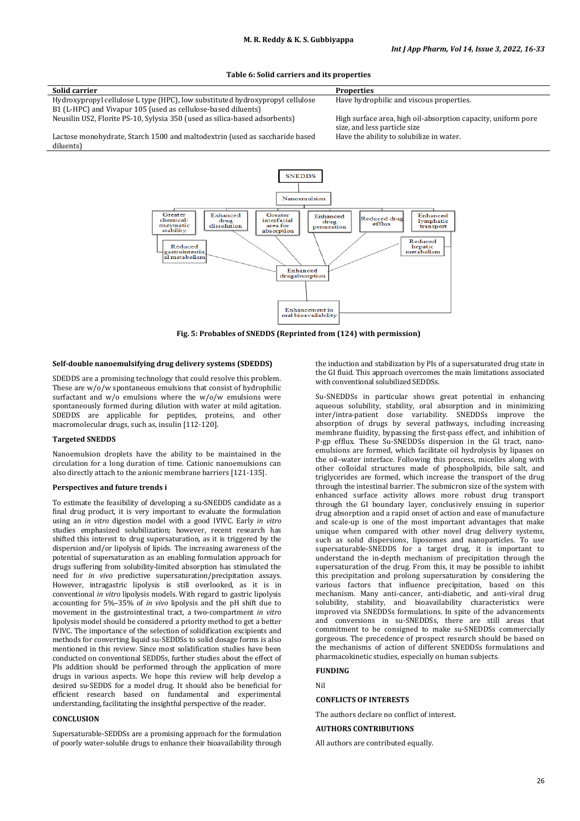**Table 6: Solid carriers and its properties**

| Solid carrier                                                                 | <b>Properties</b>                                             |
|-------------------------------------------------------------------------------|---------------------------------------------------------------|
| Hydroxypropyl cellulose L type (HPC), low substituted hydroxypropyl cellulose | Have hydrophilic and viscous properties.                      |
| B1 (L-HPC) and Vivapur 105 (used as cellulose-based diluents)                 |                                                               |
| Neusilin US2, Florite PS-10, Sylysia 350 (used as silica-based adsorbents)    | High surface area, high oil-absorption capacity, uniform pore |
|                                                                               | size, and less particle size                                  |
| Lactose monohydrate, Starch 1500 and maltodextrin (used as saccharide based   | Have the ability to solubilize in water.                      |
| diluents)                                                                     |                                                               |



**Fig. 5: Probables of SNEDDS (Reprinted from (124) with permission)**

#### **Self-double nanoemulsifying drug delivery systems (SDEDDS)**

SDEDDS are a promising technology that could resolve this problem. These are w/o/w spontaneous emulsions that consist of hydrophilic surfactant and w/o emulsions where the w/o/w emulsions were spontaneously formed during dilution with water at mild agitation. SDEDDS are applicable for peptides, proteins, and other macromolecular drugs, such as, insulin [112-120].

#### **Targeted SNEDDS**

Nanoemulsion droplets have the ability to be maintained in the circulation for a long duration of time. Cationic nanoemulsions can also directly attach to the anionic membrane barriers [121-135].

#### **Perspectives and future trends i**

To estimate the feasibility of developing a su-SNEDDS candidate as a final drug product, it is very important to evaluate the formulation using an *in vitro* digestion model with a good IVIVC. Early *in vitro* studies emphasized solubilization; however, recent research has shifted this interest to drug supersaturation, as it is triggered by the dispersion and/or lipolysis of lipids. The increasing awareness of the potential of supersaturation as an enabling formulation approach for drugs suffering from solubility-limited absorption has stimulated the need for *in vivo* predictive supersaturation/precipitation assays. However, intragastric lipolysis is still overlooked, as it is in conventional *in vitro* lipolysis models. With regard to gastric lipolysis accounting for 5%–35% of *in vivo* lipolysis and the pH shift due to movement in the gastrointestinal tract, a two-compartment *in vitro* lipolysis model should be considered a priority method to get a better IVIVC. The importance of the selection of solidification excipients and methods for converting liquid su-SEDDSs to solid dosage forms is also mentioned in this review. Since most solidification studies have been conducted on conventional SEDDSs, further studies about the effect of PIs addition should be performed through the application of more drugs in various aspects. We hope this review will help develop a desired su-SEDDS for a model drug. It should also be beneficial for efficient research based on fundamental and experimental understanding, facilitating the insightful perspective of the reader.

## **CONCLUSION**

Supersaturable-SEDDSs are a promising approach for the formulation of poorly water-soluble drugs to enhance their bioavailability through

the induction and stabilization by PIs of a supersaturated drug state in the GI fluid. This approach overcomes the main limitations associated with conventional solubilized SEDDSs.

Su-SNEDDSs in particular shows great potential in enhancing aqueous solubility, stability, oral absorption and in minimizing inter/intra-patient dose variability. SNEDDSs improve the absorption of drugs by several pathways, including increasing membrane fluidity, bypassing the first-pass effect, and inhibition of P-gp efflux. These Su-SNEDDSs dispersion in the GI tract, nanoemulsions are formed, which facilitate oil hydrolysis by lipases on the oil–water interface. Following this process, micelles along with other colloidal structures made of phospholipids, bile salt, and triglycerides are formed, which increase the transport of the drug through the intestinal barrier. The submicron size of the system with enhanced surface activity allows more robust drug transport through the GI boundary layer, conclusively ensuing in superior drug absorption and a rapid onset of action and ease of manufacture and scale-up is one of the most important advantages that make unique when compared with other novel drug delivery systems, such as solid dispersions, liposomes and nanoparticles. To use supersaturable-SNEDDS for a target drug, it is important to understand the in-depth mechanism of precipitation through the supersaturation of the drug. From this, it may be possible to inhibit this precipitation and prolong supersaturation by considering the various factors that influence precipitation, based on this mechanism. Many anti-cancer, anti-diabetic, and anti-viral drug solubility, stability, and bioavailability characteristics were improved via SNEDDSs formulations. In spite of the advancements and conversions in su-SNEDDSs, there are still areas that commitment to be consigned to make su-SNEDDSs commercially gorgeous. The precedence of prospect research should be based on the mechanisms of action of different SNEDDSs formulations and pharmacokinetic studies, especially on human subjects.

# **FUNDING**

Nil

**CONFLICTS OF INTERESTS**

The authors declare no conflict of interest.

# **AUTHORS CONTRIBUTIONS**

All authors are contributed equally.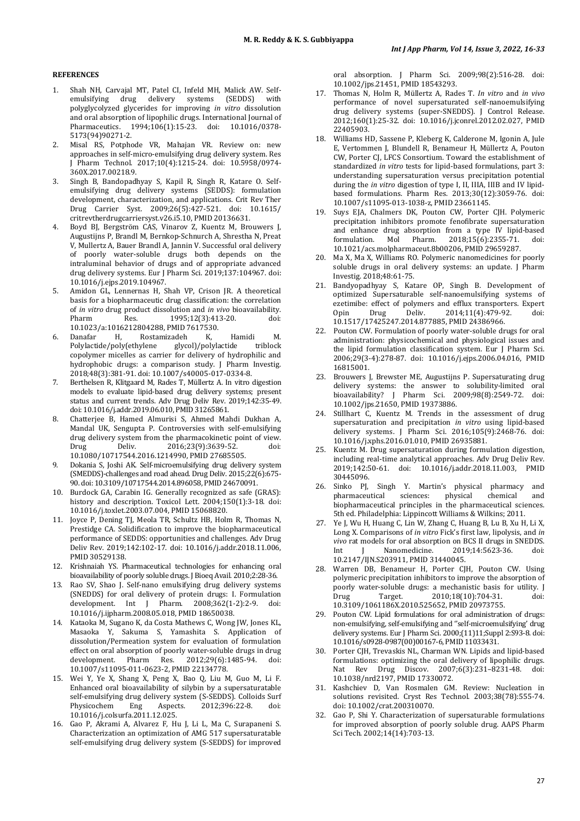# **REFERENCES**

- Shah NH, Carvajal MT, Patel CI, Infeld MH, Malick AW. Self-<br>
emulsifying drug delivery systems (SEDDS) with emulsifying drug delivery systems (SEDDS) polyglycolyzed glycerides for improving *in vitro* dissolution and oral absorption of lipophilic drugs. International Journal of Pharmaceutics. 1994;106(1):15-23. doi: [10.1016/0378-](https://doi.org/10.1016/0378-5173(94)90271-2) [5173\(94\)90271-2.](https://doi.org/10.1016/0378-5173(94)90271-2)
- 2. Misal RS, Potphode VR, Mahajan VR. Review on: new approaches in self-micro-emulsifying drug delivery system. Res J Pharm Technol. 2017;10(4):1215-24. doi: [10.5958/0974-](https://doi.org/10.5958/0974-360X.2017.00218.9) [360X.2017.00218.9.](https://doi.org/10.5958/0974-360X.2017.00218.9)
- 3. Singh B, Bandopadhyay S, Kapil R, Singh R, Katare O. Selfemulsifying drug delivery systems (SEDDS): formulation development, characterization, and applications. Crit Rev Ther Drug Carrier Syst. 2009;26(5):427-521. doi: [10.1615/](https://doi.org/10.1615/critrevtherdrugcarriersyst.v26.i5.10) [critrevtherdrugcarriersyst.v26.i5.10,](https://doi.org/10.1615/critrevtherdrugcarriersyst.v26.i5.10) PMI[D 20136631.](https://www.ncbi.nlm.nih.gov/pubmed/20136631)
- 4. Boyd BJ, Bergström CAS, Vinarov Z, Kuentz M, Brouwers J, Augustijns P, Brandl M, Bernkop-Schnurch A, Shrestha N, Preat V, Mullertz A, Bauer Brandl A, Jannin V. Successful oral delivery of poorly water-soluble drugs both depends on the intraluminal behavior of drugs and of appropriate advanced drug delivery systems. Eur J Pharm Sci. 2019;137:104967. doi: [10.1016/j.ejps.2019.104967.](https://doi.org/10.1016/j.ejps.2019.104967)
- 5. Amidon GL, Lennernas H, Shah VP, Crison JR. A theoretical basis for a biopharmaceutic drug classification: the correlation of *in vitro* drug product dissolution and *in vivo* bioavailability. 1995;12(3):413-20.
- [10.1023/a:1016212804288,](https://doi.org/10.1023/a:1016212804288) PMI[D 7617530.](https://www.ncbi.nlm.nih.gov/pubmed/7617530) 6. Danafar H, Rostamizadeh K, Hamidi M. Polylactide/poly(ethylene copolymer micelles as carrier for delivery of hydrophilic and hydrophobic drugs: a comparison study. J Pharm Investig. 2018;48(3):381-91. doi[: 10.1007/s40005-017-0334-8.](https://doi.org/10.1007/s40005-017-0334-8)
- 7. Berthelsen R, Klitgaard M, Rades T, Müllertz A. In vitro digestion models to evaluate lipid-based drug delivery systems; present status and current trends. Adv Drug Deliv Rev. 2019;142:35-49. doi[: 10.1016/j.addr.2019.06.010,](https://doi.org/10.1016/j.addr.2019.06.010) PMI[D 31265861.](https://www.ncbi.nlm.nih.gov/pubmed/31265861)
- 8. Chatterjee B, Hamed Almurisi S, Ahmed Mahdi Dukhan A, Mandal UK, Sengupta P. Controversies with self-emulsifying drug delivery system from the pharmacokinetic point of view.<br>Drug Deliv. 2016:23(9):3639-52. doi: Drug Deliv. 2016;23(9):3639-52. doi: [10.1080/10717544.2016.1214990,](https://doi.org/10.1080/10717544.2016.1214990) PMI[D 27685505.](https://www.ncbi.nlm.nih.gov/pubmed/27685505)
- 9. Dokania S, Joshi AK. Self-microemulsifying drug delivery system (SMEDDS)-challenges and road ahead. Drug Deliv. 2015;22(6):675- 90. doi[: 10.3109/10717544.2014.896058,](https://doi.org/10.3109/10717544.2014.896058) PMI[D 24670091.](https://www.ncbi.nlm.nih.gov/pubmed/24670091)
- 10. Burdock GA, Carabin IG. Generally recognized as safe (GRAS): history and description. Toxicol Lett. 2004;150(1):3-18. doi: [10.1016/j.toxlet.2003.07.004,](https://doi.org/10.1016/j.toxlet.2003.07.004) PMI[D 15068820.](https://www.ncbi.nlm.nih.gov/pubmed/15068820)
- 11. Joyce P, Dening TJ, Meola TR, Schultz HB, Holm R, Thomas N, Prestidge CA. Solidification to improve the biopharmaceutical performance of SEDDS: opportunities and challenges. Adv Drug Deliv Rev. 2019;142:102-17. doi: [10.1016/j.addr.2018.11.006,](https://doi.org/10.1016/j.addr.2018.11.006)  PMI[D 30529138.](https://www.ncbi.nlm.nih.gov/pubmed/30529138)
- 12. Krishnaiah YS. Pharmaceutical technologies for enhancing oral bioavailability of poorly soluble drugs. J Bioeq Avail. 2010;2:28-36.
- 13. Rao SV, Shao J. Self-nano emulsifying drug delivery systems (SNEDDS) for oral delivery of protein drugs: I. Formulation development. Int J Pharm. 2008;362(1-2):2-9. [10.1016/j.ijpharm.2008.05.018,](https://doi.org/10.1016/j.ijpharm.2008.05.018) PMI[D 18650038.](https://www.ncbi.nlm.nih.gov/pubmed/18650038)
- 14. Kataoka M, Sugano K, da Costa Mathews C, Wong JW, Jones KL, Masaoka Y, Sakuma S, Yamashita S. Application of dissolution/Permeation system for evaluation of formulation effect on oral absorption of poorly water-soluble drugs in drug<br>development. Pharm Res. 2012:2966:1485-94. doi: development. Pharm Res. 2012;29(6):1485-94. [10.1007/s11095-011-0623-2,](https://doi.org/10.1007/s11095-011-0623-2) PMI[D 22134778.](https://www.ncbi.nlm.nih.gov/pubmed/22134778)
- Wei Y, Ye X, Shang X, Peng X, Bao Q, Liu M, Guo M, Li F. Enhanced oral bioavailability of silybin by a supersaturatable self-emulsifying drug delivery system (S-SEDDS). Colloids Surf<br>Physicochem Eng Aspects. 2012;396:22-8. doi: Physicochem Eng Aspects. 2012;396:22-8. doi: [10.1016/j.colsurfa.2011.12.025.](https://doi.org/10.1016/j.colsurfa.2011.12.025)
- 16. Gao P, Akrami A, Alvarez F, Hu J, Li L, Ma C, Surapaneni S. Characterization an optimization of AMG 517 supersaturatable self-emulsifying drug delivery system (S-SEDDS) for improved

oral absorption. J Pharm Sci. 2009;98(2):516-28. doi: [10.1002/jps.21451,](https://doi.org/10.1002/jps.21451) PMI[D 18543293.](https://www.ncbi.nlm.nih.gov/pubmed/18543293)

- 17. Thomas N, Holm R, Müllertz A, Rades T. *In vitro* and *in vivo* performance of novel supersaturated self-nanoemulsifying drug delivery systems (super-SNEDDS). J Control Release. 2012;160(1):25-32. doi: [10.1016/j.jconrel.2012.02.027,](https://doi.org/10.1016/j.jconrel.2012.02.027) PMID [22405903.](https://www.ncbi.nlm.nih.gov/pubmed/22405903)
- 18. Williams HD, Sassene P, Kleberg K, Calderone M, Igonin A, Jule E, Vertommen J, Blundell R, Benameur H, Müllertz A, Pouton CW, Porter CJ, LFCS Consortium. Toward the establishment of standardized *in vitro* tests for lipid-based formulations, part 3: understanding supersaturation versus precipitation potential during the *in vitro* digestion of type I, II, IIIA, IIIB and IV lipidbased formulations. Pharm Res. 2013;30(12):3059-76. doi: [10.1007/s11095-013-1038-z,](https://doi.org/10.1007/s11095-013-1038-z) PMI[D 23661145.](https://www.ncbi.nlm.nih.gov/pubmed/23661145)
- 19. Suys EJA, Chalmers DK, Pouton CW, Porter CJH. Polymeric precipitation inhibitors promote fenofibrate supersaturation and enhance drug absorption from a type IV lipid-based<br>formulation. Mol Pharm. 2018:15(6):2355-71. doi: Pharm. 2018;15(6):2355-71. [10.1021/acs.molpharmaceut.8b00206,](https://doi.org/10.1021/acs.molpharmaceut.8b00206) PMI[D 29659287.](https://www.ncbi.nlm.nih.gov/pubmed/29659287)
- 20. Ma X, Ma X, Williams RO. Polymeric nanomedicines for poorly soluble drugs in oral delivery systems: an update. J Pharm Investig. 2018;48:61-75.
- 21. Bandyopadhyay S, Katare OP, Singh B. Development of optimized Supersaturable self-nanoemulsifying systems of ezetimibe: effect of polymers and efflux transporters. Expert<br>Opin Drug Deliv. 2014:11(4):479-92. doi: 2014:11(4):479-92. [10.1517/17425247.2014.877885,](https://doi.org/10.1517/17425247.2014.877885) PMI[D 24386966.](https://www.ncbi.nlm.nih.gov/pubmed/24386966)
- 22. Pouton CW. Formulation of poorly water-soluble drugs for oral administration: physicochemical and physiological issues and the lipid formulation classification system. Eur J Pharm Sci. 2006;29(3-4):278-87. doi: [10.1016/j.ejps.2006.04.016,](https://doi.org/10.1016/j.ejps.2006.04.016) PMID [16815001.](https://www.ncbi.nlm.nih.gov/pubmed/16815001)
- 23. Brouwers J, Brewster ME, Augustijns P. Supersaturating drug delivery systems: the answer to solubility-limited oral bioavailability? J Pharm Sci. 2009;98(8):2549-72. doi: [10.1002/jps.21650,](https://doi.org/10.1002/jps.21650) PMI[D 19373886.](https://www.ncbi.nlm.nih.gov/pubmed/19373886)
- 24. Stillhart C, Kuentz M. Trends in the assessment of drug supersaturation and precipitation *in vitro* using lipid-based delivery systems. J Pharm Sci. 2016;105(9):2468-76. doi: [10.1016/j.xphs.2016.01.010,](https://doi.org/10.1016/j.xphs.2016.01.010) PMI[D 26935881.](https://www.ncbi.nlm.nih.gov/pubmed/26935881)
- 25. Kuentz M. Drug supersaturation during formulation digestion, including real-time analytical approaches. Adv Drug Deliv Rev. 2019;142:50-61. doi: [10.1016/j.addr.2018.11.003,](https://doi.org/10.1016/j.addr.2018.11.003) PMID [30445096.](https://www.ncbi.nlm.nih.gov/pubmed/30445096)
- 26. Sinko PJ, Singh Y. Martin's physical pharmacy and pharmaceutical sciences: physical chemical and biopharmaceutical principles in the pharmaceutical sciences. 5th ed. Philadelphia: Lippincott Williams & Wilkins; 2011.
- 27. Ye J, Wu H, Huang C, Lin W, Zhang C, Huang B, Lu B, Xu H, Li X, Long X. Comparisons of *in vitro* Fick's first law, lipolysis, and *in vivo* rat models for oral absorption on BCS II drugs in SNEDDS.<br>Int J Manomedicine. 2019;14:5623-36. doi: Int J Nanomedicine. 2019;14:5623-36. doi: [10.2147/IJN.S203911,](https://doi.org/10.2147/IJN.S203911) PMI[D 31440045.](https://www.ncbi.nlm.nih.gov/pubmed/31440045)
- Warren DB, Benameur H, Porter CJH, Pouton CW. Using polymeric precipitation inhibitors to improve the absorption of poorly water-soluble drugs: a mechanistic basis for utility. J<br>Drug Target. 2010:18(10):704-31. doi: 2010;18(10):704-31. [10.3109/1061186X.2010.525652,](https://doi.org/10.3109/1061186X.2010.525652) PMID [20973755.](https://www.ncbi.nlm.nih.gov/pubmed/20973755)
- 29. Pouton CW. Lipid formulations for oral administration of drugs: non-emulsifying, self-emulsifying and ''self-microemulsifying' drug delivery systems. Eur J Pharm Sci. 2000;(11)11;Suppl 2:S93-8. doi: [10.1016/s0928-0987\(00\)00167-6,](https://doi.org/10.1016/s0928-0987(00)00167-6) PMI[D 11033431.](https://www.ncbi.nlm.nih.gov/pubmed/11033431)
- 30. Porter CJH, Trevaskis NL, Charman WN. Lipids and lipid-based formulations: optimizing the oral delivery of lipophilic drugs.<br>Nat. Rev. Drug. Discov. 2007:6(3):231-8231-48. doi: Nat Rev Drug Discov. 2007;6(3):231-8231-48. [10.1038/nrd2197,](https://doi.org/10.1038/nrd2197) PMI[D 17330072.](https://www.ncbi.nlm.nih.gov/pubmed/17330072)
- 31. Kashchiev D, Van Rosmalen GM. Review: Nucleation in solutions revisited. Cryst Res Technol. 2003;38(78):555-74. doi[: 10.1002/crat.200310070.](https://doi.org/10.1002/crat.200310070)
- 32. Gao P, Shi Y. Characterization of supersaturable formulations for improved absorption of poorly soluble drug. AAPS Pharm Sci Tech. 2002;14(14):703-13.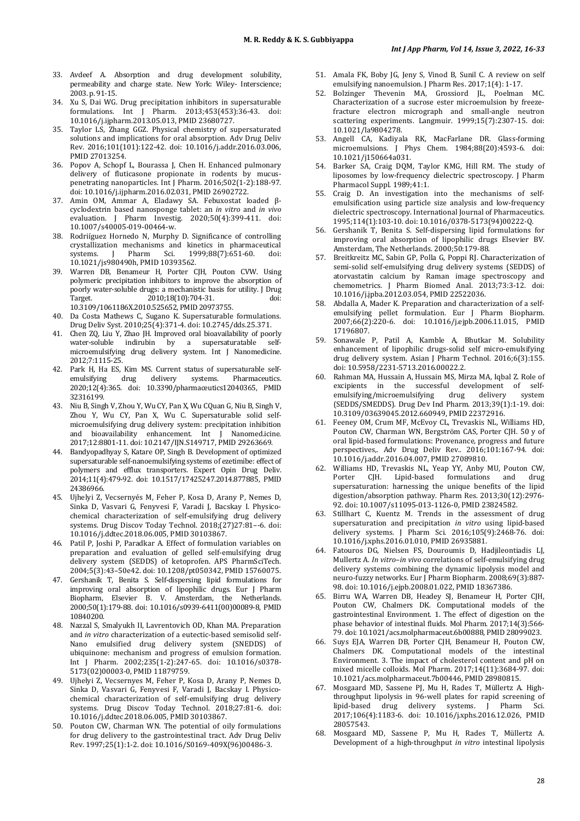- 33. Avdeef A. Absorption and drug development solubility, permeability and charge state. New York: Wiley- Interscience; 2003. p. 91-15.
- 34. Xu S, Dai WG. Drug precipitation inhibitors in supersaturable formulations. Int J Pharm. 2013;453(453):36-43. doi: [10.1016/j.ijpharm.2013.05.013,](https://doi.org/10.1016/j.ijpharm.2013.05.013) PMI[D 23680727.](https://www.ncbi.nlm.nih.gov/pubmed/23680727)
- 35. Taylor LS, Zhang GGZ. Physical chemistry of supersaturated solutions and implications for oral absorption. Adv Drug Deliv Rev. 2016;101(101):122-42. doi: [10.1016/j.addr.2016.03.006,](https://doi.org/10.1016/j.addr.2016.03.006)  PMI[D 27013254.](https://www.ncbi.nlm.nih.gov/pubmed/27013254)
- 36. Popov A, Schopf L, Bourassa J, Chen H. Enhanced pulmonary delivery of fluticasone propionate in rodents by mucuspenetrating nanoparticles. Int J Pharm. 2016;502(1-2):188-97. doi[: 10.1016/j.ijpharm.2016.02.031,](https://doi.org/10.1016/j.ijpharm.2016.02.031) PMI[D 26902722.](https://www.ncbi.nlm.nih.gov/pubmed/26902722)
- 37. Amin OM, Ammar A, Eladawy SA. Febuxostat loaded βcyclodextrin based nanosponge tablet: an *in vitro* and *in vivo* evaluation. J Pharm Investig. 2020;50(4):399-411. doi: [10.1007/s40005-019-00464-w.](https://doi.org/10.1007/s40005-019-00464-w)
- 38. Rodriíguez Hornedo N, Murphy D. Significance of controlling crystallization mechanisms and kinetics in pharmaceutical 1999;88(7):651-60. [10.1021/js980490h,](https://doi.org/10.1021/js980490h) PMI[D 10393562.](https://www.ncbi.nlm.nih.gov/pubmed/10393562)
- 39. Warren DB, Benameur H, Porter CJH, Pouton CVW. Using polymeric precipitation inhibitors to improve the absorption of poorly water-soluble drugs: a mechanistic basis for utility. J Drug Target. 2010;18(10):704-31. doi: [10.3109/1061186X.2010.525652,](https://doi.org/10.3109/1061186X.2010.525652) PMI[D 20973755.](https://www.ncbi.nlm.nih.gov/pubmed/20973755)
- 40. Da Costa Mathews C, Sugano K. Supersaturable formulations. Drug Deliv Syst. 2010;25(4):371-4. doi[: 10.2745/dds.25.371.](https://doi.org/10.2745/dds.25.371)
- 41. Chen ZQ, Liu Y, Zhao JH. Improved oral bioavailability of poorly<br>water-soluble indirubin by a sunersaturatable self $water$ -soluble indirubin by a supersaturatable microemulsifying drug delivery system. Int J Nanomedicine. 2012;7:1115-25.
- 42. Park H, Ha ES, Kim MS. Current status of supersaturable selfemulsifying drug delivery systems. Pharmaceutics. 2020;12(4):365. doi: [10.3390/pharmaceutics12040365,](https://doi.org/10.3390/pharmaceutics12040365) PMID [32316199.](https://www.ncbi.nlm.nih.gov/pubmed/32316199)
- 43. Niu B, Singh V, Zhou Y, Wu CY, Pan X, Wu CQuan G, Niu B, Singh V, Zhou Y, Wu CY, Pan X, Wu C. Supersaturable solid selfmicroemulsifying drug delivery system: precipitation inhibition and bioavailability enhancement. Int J Nanomed.icine. 2017;12:8801-11. doi[: 10.2147/IJN.S149717,](https://doi.org/10.2147/IJN.S149717) PMI[D 29263669.](https://www.ncbi.nlm.nih.gov/pubmed/29263669)
- 44. Bandyopadhyay S, Katare OP, Singh B. Development of optimized supersaturable self-nanoemulsifying systems of ezetimibe: effect of polymers and efflux transporters. Expert Opin Drug Deliv. 2014;11(4):479-92. doi: [10.1517/17425247.2014.877885,](https://doi.org/10.1517/17425247.2014.877885) PMID [24386966.](https://www.ncbi.nlm.nih.gov/pubmed/24386966)
- 45. Ujhelyi Z, Vecsernyés M, Feher P, Kosa D, Arany P, Nemes D, Sinka D, Vasvari G, Fenyvesi F, Varadi J, Bacskay I. Physicochemical characterization of self-emulsifying drug delivery systems. Drug Discov Today Technol. 2018;(27)27:81–-6. doi: [10.1016/j.ddtec.2018.06.005,](https://doi.org/10.1016/j.ddtec.2018.06.005) PMID [30103867.](https://www.ncbi.nlm.nih.gov/pubmed/30103867)
- 46. Patil P, Joshi P, Paradkar A. Effect of formulation variables on preparation and evaluation of gelled self-emulsifying drug delivery system (SEDDS) of ketoprofen. APS PharmSciTech. 2004;5(3):43–50e42. doi[: 10.1208/pt050342,](https://doi.org/10.1208/pt050342) PMI[D 15760075.](https://www.ncbi.nlm.nih.gov/pubmed/15760075)
- 47. Gershanik T, Benita S. Self-dispersing lipid formulations for improving oral absorption of lipophilic drugs. Eur J Pharm Biopharm, Elsevier B. V. Amsterdam, the Netherlands. 2000;50(1):179-88. doi: [10.1016/s0939-6411\(00\)00089-8,](https://doi.org/10.1016/s0939-6411(00)00089-8) PMID [10840200.](https://www.ncbi.nlm.nih.gov/pubmed/10840200)
- 48. Nazzal S, Smalyukh II, Lavrentovich OD, Khan MA. Preparation and *in vitro* characterization of a eutectic-based semisolid self-Nano emulsified drug delivery system (SNEDDS) of ubiquinone: mechanism and progress of emulsion formation. Int J Pharm. 2002;235(1-2):247-65. doi: [10.1016/s0378-](https://doi.org/10.1016/s0378-5173(02)00003-0) [5173\(02\)00003-0,](https://doi.org/10.1016/s0378-5173(02)00003-0) PMI[D 11879759.](https://www.ncbi.nlm.nih.gov/pubmed/11879759)
- 49. Ujhelyi Z, Vecsernyes M, Feher P, Kosa D, Arany P, Nemes D, Sinka D, Vasvari G, Fenyvesi F, Varadi J, Bacskay I. Physicochemical characterization of self-emulsifying drug delivery systems. Drug Discov Today Technol. 2018;27:81-6. doi: [10.1016/j.ddtec.2018.06.005,](https://doi.org/10.1016/j.ddtec.2018.06.005) PMID [30103867.](https://www.ncbi.nlm.nih.gov/pubmed/30103867)
- 50. Pouton CW, Charman WN. The potential of oily formulations for drug delivery to the gastrointestinal tract. Adv Drug Deliv Rev. 1997;25(1):1-2. doi[: 10.1016/S0169-409X\(96\)00486-3.](https://doi.org/10.1016/S0169-409X(96)00486-3)
- 51. Amala FK, Boby JG, Jeny S, Vinod B, Sunil C. A review on self emulsifying nanoemulsion. J Pharm Res. 2017;1(4): 1-17.
- Bolzinger Thevenin MA, Grossiord JL, Poelman Characterization of a sucrose ester microemulsion by freezefracture electron micrograph and small-angle neutron scattering experiments. Langmuir. 1999;15(7):2307-15. doi: [10.1021/la9804278.](https://doi.org/10.1021/la9804278)
- 53. Angell CA, Kadiyala RK, MacFarlane DR. Glass-forming microemulsions. J Phys Chem. 1984;88(20):4593-6. doi: [10.1021/j150664a031.](https://doi.org/10.1021/j150664a031)
- 54. Barker SA, Craig DQM, Taylor KMG, Hill RM. The study of liposomes by low-frequency dielectric spectroscopy. J Pharm Pharmacol Suppl. 1989;41:1.
- 55. Craig D. An investigation into the mechanisms of selfemulsification using particle size analysis and low-frequency dielectric spectroscopy. International Journal of Pharmaceutics. 1995;114(1):103-10. doi[: 10.1016/0378-5173\(94\)00222-Q.](https://doi.org/10.1016/0378-5173(94)00222-Q)
- 56. Gershanik T, Benita S. Self-dispersing lipid formulations for improving oral absorption of lipophilic drugs Elsevier BV. Amsterdam, The Netherlands. 2000;50:179-88.
- 57. Breitkreitz MC, Sabin GP, Polla G, Poppi RJ. Characterization of semi-solid self-emulsifying drug delivery systems (SEDDS) of atorvastatin calcium by Raman image spectroscopy and chemometrics. J Pharm Biomed Anal. 2013;73:3-12. doi: [10.1016/j.jpba.2012.03.054,](https://doi.org/10.1016/j.jpba.2012.03.054) PMI[D 22522036.](https://www.ncbi.nlm.nih.gov/pubmed/22522036)
- 58. Abdalla A, Mader K. Preparation and characterization of a selfemulsifying pellet formulation. Eur J Pharm Biopharm. 2007;66(2):220-6. doi: [10.1016/j.ejpb.2006.11.015,](https://doi.org/10.1016/j.ejpb.2006.11.015) PMID [17196807.](https://www.ncbi.nlm.nih.gov/pubmed/17196807)
- 59. Sonawale P, Patil A, Kamble A, Bhutkar M. Solubility enhancement of lipophilic drugs-solid self micro-emulsifying drug delivery system. Asian J Pharm Technol. 2016;6(3):155. doi[: 10.5958/2231-5713.2016.00022.2.](https://doi.org/10.5958/2231-5713.2016.00022.2)
- 60. Rahman MA, Hussain A, Hussain MS, Mirza MA, Iqbal Z. Role of excipients in the successful development of self-<br>emulsifying/microemulsifying drug delivery system emulsifying/microemulsifying (SEDDS/SMEDDS). Drug Dev Ind Pharm. 2013;39(1):1-19. doi: [10.3109/03639045.2012.660949,](https://doi.org/10.3109/03639045.2012.660949) PMI[D 22372916.](https://www.ncbi.nlm.nih.gov/pubmed/22372916)
- 61. Feeney OM, Crum MF, McEvoy CL, Trevaskis NL, Williams HD, Pouton CW, Charman WN, Bergström CAS, Porter CJH. 50 y of oral lipid-based formulations: Provenance, progress and future perspectives,. Adv Drug Deliv Rev.. 2016;101:167-94. doi: [10.1016/j.addr.2016.04.007,](https://doi.org/10.1016/j.addr.2016.04.007) PMI[D 27089810.](https://www.ncbi.nlm.nih.gov/pubmed/27089810)
- 62. Williams HD, Trevaskis NL, Yeap YY, Anby MU, Pouton CW, Porter CJH. Lipid-based formulations and drug supersaturation: harnessing the unique benefits of the lipid digestion/absorption pathway. Pharm Res. 2013;30(12):2976- 92. doi[: 10.1007/s11095-013-1126-0,](https://doi.org/10.1007/s11095-013-1126-0) PMI[D 23824582.](https://www.ncbi.nlm.nih.gov/pubmed/23824582)
- Stillhart C, Kuentz M. Trends in the assessment of drug supersaturation and precipitation *in vitro* using lipid-based delivery systems. J Pharm Sci. 2016;105(9):2468-76. doi: [10.1016/j.xphs.2016.01.010,](https://doi.org/10.1016/j.xphs.2016.01.010) PMI[D 26935881.](https://www.ncbi.nlm.nih.gov/pubmed/26935881)
- 64. Fatouros DG, Nielsen FS, Douroumis D, Hadjileontiadis LJ, Mullertz A. *In vitro*–*in vivo* correlations of self-emulsifying drug delivery systems combining the dynamic lipolysis model and neuro-fuzzy networks. Eur J Pharm Biopharm. 2008;69(3):887- 98. doi[: 10.1016/j.ejpb.2008.01.022,](https://doi.org/10.1016/j.ejpb.2008.01.022) PMI[D 18367386.](https://www.ncbi.nlm.nih.gov/pubmed/18367386)
- 65. Birru WA, Warren DB, Headey SJ, Benameur H, Porter CJH, Pouton CW, Chalmers DK. Computational models of the gastrointestinal Environment. 1. The effect of digestion on the phase behavior of intestinal fluids. Mol Pharm. 2017;14(3):566- 79. doi[: 10.1021/acs.molpharmaceut.6b00888,](https://doi.org/10.1021/acs.molpharmaceut.6b00888) PMI[D 28099023.](https://www.ncbi.nlm.nih.gov/pubmed/28099023)
- 66. Suys EJA, Warren DB, Porter CJH, Benameur H, Pouton CW, Chalmers DK. Computational models of the intestinal Environment. 3. The impact of cholesterol content and pH on mixed micelle colloids. Mol Pharm. 2017;14(11):3684-97. doi: [10.1021/acs.molpharmaceut.7b00446,](https://doi.org/10.1021/acs.molpharmaceut.7b00446) PMI[D 28980815.](https://www.ncbi.nlm.nih.gov/pubmed/28980815)
- 67. Mosgaard MD, Sassene PJ, Mu H, Rades T, Müllertz A. Highthroughput lipolysis in 96-well plates for rapid screening of lipid-based drug delivery systems. J Pharm Sci. 2017;106(4):1183-6. doi: [10.1016/j.xphs.2016.12.026,](https://doi.org/10.1016/j.xphs.2016.12.026) PMID [28057543.](https://www.ncbi.nlm.nih.gov/pubmed/28057543)
- 68. Mosgaard MD, Sassene P, Mu H, Rades T, Müllertz A. Development of a high-throughput *in vitro* intestinal lipolysis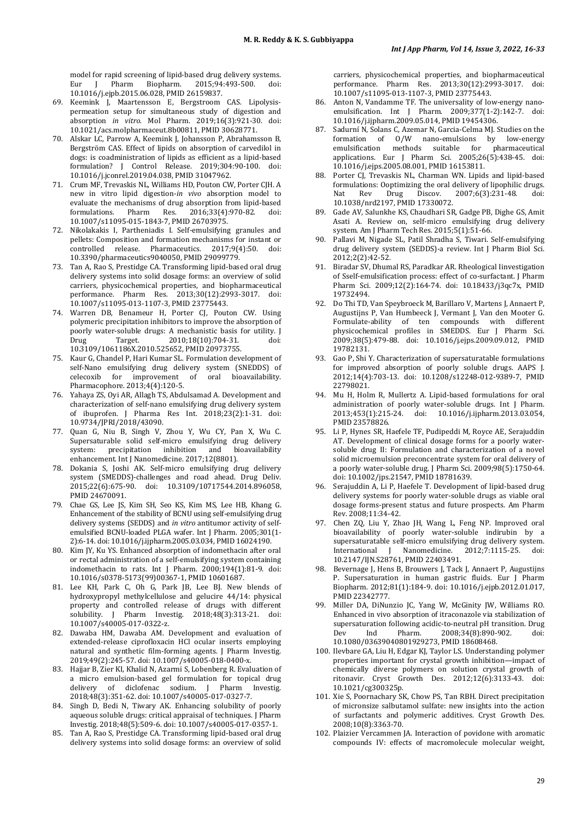model for rapid screening of lipid-based drug delivery systems.<br>Eur J Pharm Biopharm. 2015;94:493-500. doi: Biopharm. 2015;94:493-500. [10.1016/j.ejpb.2015.06.028,](https://doi.org/10.1016/j.ejpb.2015.06.028) PMI[D 26159837.](https://www.ncbi.nlm.nih.gov/pubmed/26159837)

- 69. Keemink J, Maartensson E, Bergstroom CAS. Lipolysispermeation setup for simultaneous study of digestion and absorption *in vitro*. Mol Pharm. 2019;16(3):921-30. doi: [10.1021/acs.molpharmaceut.8b00811,](https://doi.org/10.1021/acs.molpharmaceut.8b00811) PMI[D 30628771.](https://www.ncbi.nlm.nih.gov/pubmed/30628771)
- 70. Alskar LC, Parrow A, Keemink J, Johansson P, Abrahamsson B, Bergström CAS. Effect of lipids on absorption of carvedilol in dogs: is coadministration of lipids as efficient as a lipid-based formulation? J Control Release. 2019;304:90-100. doi: [10.1016/j.jconrel.2019.04.038,](https://doi.org/10.1016/j.jconrel.2019.04.038) PMI[D 31047962.](https://www.ncbi.nlm.nih.gov/pubmed/31047962)
- 71. Crum MF, Trevaskis NL, Williams HD, Pouton CW, Porter CJH. A new in vitro lipid digestion-*in vivo* absorption model to evaluate the mechanisms of drug absorption from lipid-based<br>formulations. Pharm Res. 2016;33(4):970-82. doi: formulations. Pharm Res. 2016;33(4):970-82. doi: [10.1007/s11095-015-1843-7,](https://doi.org/10.1007/s11095-015-1843-7) PMI[D 26703975.](https://www.ncbi.nlm.nih.gov/pubmed/26703975)
- 72. Nikolakakis I, Partheniadis I. Self-emulsifying granules and pellets: Composition and formation mechanisms for instant or<br>controlled release. Pharmaceutics. 2017:9(4):50. doi: controlled release. Pharmaceutics. 2017;9(4):50. [10.3390/pharmaceutics9040050,](https://doi.org/10.3390/pharmaceutics9040050) PMI[D 29099779.](https://www.ncbi.nlm.nih.gov/pubmed/29099779)
- 73. Tan A, Rao S, Prestidge CA. Transforming lipid-based oral drug delivery systems into solid dosage forms: an overview of solid carriers, physicochemical properties, and biopharmaceutical performance. Pharm Res. 2013;30(12):2993-3017. doi: [10.1007/s11095-013-1107-3,](https://doi.org/10.1007/s11095-013-1107-3) PMI[D 23775443.](https://www.ncbi.nlm.nih.gov/pubmed/23775443)
- 74. Warren DB, Benameur H, Porter CJ, Pouton CW. Using polymeric precipitation inhibitors to improve the absorption of poorly water-soluble drugs: A mechanistic basis for utility. J<br>Drug Target. 2010;18(10):704-31. doi: Drug Target. 2010;18(10):704-31. doi: [10.3109/1061186X.2010.525652,](https://doi.org/10.3109/1061186X.2010.525652) PMI[D 20973755.](https://www.ncbi.nlm.nih.gov/pubmed/20973755)
- 75. Kaur G, Chandel P, Hari Kumar SL. Formulation development of self-Nano emulsifying drug delivery system (SNEDDS) of celecoxib for improvement of oral bioavailability. oral bioavailability. Pharmacophore. 2013;4(4):120-5.
- 76. Yahaya ZS, Oyi AR, Allagh TS, Abdulsamad A. Development and characterization of self-nano emulsifying drug delivery system of ibuprofen. J Pharma Res Int. 2018;23(2):1-31. doi: [10.9734/JPRI/2018/43090.](https://doi.org/10.9734/JPRI/2018/43090)
- 77. Quan G, Niu B, Singh V, Zhou Y, Wu CY, Pan X, Wu C. Supersaturable solid self-micro emulsifying drug delivery<br>system: precipitation inhibition and bioavailability precipitation inhibition enhancement. Int J Nanomedicine. 2017;12(8801).
- 78. Dokania S, Joshi AK. Self-micro emulsifying drug delivery system (SMEDDS)-challenges and road ahead. Drug Deliv. 2015;22(6):675-90. doi: [10.3109/10717544.2014.896058,](https://doi.org/10.3109/10717544.2014.896058)  PMI[D 24670091.](https://www.ncbi.nlm.nih.gov/pubmed/24670091)
- 79. Chae GS, Lee JS, Kim SH, Seo KS, Kim MS, Lee HB, Khang G. Enhancement of the stability of BCNU using self-emulsifying drug delivery systems (SEDDS) and *in vitro* antitumor activity of selfemulsified BCNU-loaded PLGA wafer. Int J Pharm. 2005;301(1- 2):6-14. doi[: 10.1016/j.ijpharm.2005.03.034,](https://doi.org/10.1016/j.ijpharm.2005.03.034) PMI[D 16024190.](https://www.ncbi.nlm.nih.gov/pubmed/16024190)
- 80. Kim JY, Ku YS. Enhanced absorption of indomethacin after oral or rectal administration of a self-emulsifying system containing indomethacin to rats. Int J Pharm. 2000;194(1):81-9. doi: [10.1016/s0378-5173\(99\)00367-1,](https://doi.org/10.1016/s0378-5173(99)00367-1) PMI[D 10601687.](https://www.ncbi.nlm.nih.gov/pubmed/10601687)
- 81. Lee KH, Park C, Oh G, Park JB, Lee BJ. New blends of hydroxypropyl methylcellulose and gelucire 44/14: physical property and controlled release of drugs with different solubility. J Pharm Investig. 2018;48(3):313-21. doi: [10.1007/s40005-017-0322-z.](https://doi.org/10.1007/s40005-017-0322-z)
- 82. Dawaba HM, Dawaba AM. Development and evaluation of extended-release ciprofloxacin HCl ocular inserts employing natural and synthetic film-forming agents. J Pharm Investig. 2019;49(2):245-57. doi[: 10.1007/s40005-018-0400-x.](https://doi.org/10.1007/s40005-018-0400-x)
- 83. Hajjar B, Zier KI, Khalid N, Azarmi S, Lobenberg R. Evaluation of a micro emulsion-based gel formulation for topical drug delivery of diclofenac sodium. I Pharm Investig. 2018;48(3):351-62. doi[: 10.1007/s40005-017-0327-7.](https://doi.org/10.1007/s40005-017-0327-7)
- 84. Singh D, Bedi N, Tiwary AK. Enhancing solubility of poorly aqueous soluble drugs: critical appraisal of techniques. J Pharm Investig. 2018;48(5):509-6. doi[: 10.1007/s40005-017-0357-1.](https://doi.org/10.1007/s40005-017-0357-1)
- 85. Tan A, Rao S, Prestidge CA. Transforming lipid-based oral drug delivery systems into solid dosage forms: an overview of solid

carriers, physicochemical properties, and biopharmaceutical performance. Pharm Res. 2013;30(12):2993-3017. doi: [10.1007/s11095-013-1107-3,](https://doi.org/10.1007/s11095-013-1107-3) PMI[D 23775443.](https://www.ncbi.nlm.nih.gov/pubmed/23775443)

- 86. Anton N, Vandamme TF. The universality of low-energy nanoemulsification. Int J Pharm. 2009;377(1-2):142-7. doi: [10.1016/j.ijpharm.2009.05.014,](https://doi.org/10.1016/j.ijpharm.2009.05.014) PMI[D 19454306.](https://www.ncbi.nlm.nih.gov/pubmed/19454306)
- 87. Sadurní N, Solans C, Azemar N, Garcia-Celma MJ. Studies on the formation of  $0/W$  nano-emulsions by low-energy<br>emulsification methods suitable for pharmaceutical emulsification methods suitable for applications. Eur J Pharm Sci. 2005;26(5):438-45. doi: [10.1016/j.ejps.2005.08.001,](https://doi.org/10.1016/j.ejps.2005.08.001) PMI[D 16153811.](https://www.ncbi.nlm.nih.gov/pubmed/16153811)
- 88. Porter CJ, Trevaskis NL, Charman WN. Lipids and lipid-based formulations: Ooptimizing the oral delivery of lipophilic drugs.<br>Nat Rev Drug Discov. 2007;6(3):231-48. doi: 2007;6(3):231-48. [10.1038/nrd2197,](https://doi.org/10.1038/nrd2197) PMI[D 17330072.](https://www.ncbi.nlm.nih.gov/pubmed/17330072)
- 89. Gade AV, Salunkhe KS, Chaudhari SR, Gadge PB, Dighe GS, Amit Asati A. Review on, self-micro emulsifying drug delivery system. Am J Pharm Tech Res. 2015;5(1):51-66.
- 90. Pallavi M, Nigade SL, Patil Shradha S, Tiwari. Self-emulsifying drug delivery system (SEDDS)-a review. Int J Pharm Biol Sci. 2012;2(2):42-52.
- 91. Biradar SV, Dhumal RS, Paradkar AR. Rheological Iinvestigation of Sself-emulsification process: effect of co-surfactant. J Pharm Pharm Sci. 2009;12(2):164-74. doi: [10.18433/j3qc7x,](https://doi.org/10.18433/j3qc7x) PMID [19732494.](https://www.ncbi.nlm.nih.gov/pubmed/19732494)
- 92. Do Thi TD, Van Speybroeck M, Barillaro V, Martens J, Annaert P, Augustijns P, Van Humbeeck J, Vermant J, Van den Mooter G. Formulate-ability of ten compounds with different physicochemical profiles in SMEDDS. Eur J Pharm Sci. 2009;38(5):479-88. doi: [10.1016/j.ejps.2009.09.012,](https://doi.org/10.1016/j.ejps.2009.09.012) PMID [19782131.](https://www.ncbi.nlm.nih.gov/pubmed/19782131)
- 93. Gao P, Shi Y. Characterization of supersaturatable formulations for improved absorption of poorly soluble drugs. AAPS J. 2012;14(4):703-13. doi: [10.1208/s12248-012-9389-7,](https://doi.org/10.1208/s12248-012-9389-7) PMID [22798021.](https://www.ncbi.nlm.nih.gov/pubmed/22798021)
- 94. Mu H, Holm R, Mullertz A. Lipid-based formulations for oral administration of poorly water-soluble drugs. Int J Pharm. 2013;453(1):215-24. doi: [10.1016/j.ijpharm.2013.03.054,](https://doi.org/10.1016/j.ijpharm.2013.03.054)  PMI[D 23578826.](https://www.ncbi.nlm.nih.gov/pubmed/23578826)
- 95. Li P, Hynes SR, Haefele TF, Pudipeddi M, Royce AE, Serajuddin AT. Development of clinical dosage forms for a poorly watersoluble drug II: Formulation and characterization of a novel solid microemulsion preconcentrate system for oral delivery of a poorly water-soluble drug. J Pharm Sci. 2009;98(5):1750-64. doi[: 10.1002/jps.21547,](https://doi.org/10.1002/jps.21547) PMI[D 18781639.](https://www.ncbi.nlm.nih.gov/pubmed/18781639)
- 96. Serajuddin A, Li P, Haefele T. Development of lipid-based drug delivery systems for poorly water-soluble drugs as viable oral dosage forms-present status and future prospects. Am Pharm Rev. 2008;11:34-42.
- 97. Chen ZQ, Liu Y, Zhao JH, Wang L, Feng NP. Improved oral bioavailability of poorly water-soluble indirubin by a supersaturatable self-micro emulsifying drug delivery system.<br>International I Nanomedicine. 2012:7:1115-25. doi: International J Nanomedicine. 2012;7:1115-25. [10.2147/IJN.S28761,](https://doi.org/10.2147/IJN.S28761) PMI[D 22403491.](https://www.ncbi.nlm.nih.gov/pubmed/22403491)
- 98. Bevernage J, Hens B, Brouwers J, Tack J, Annaert P, Augustijns P. Supersaturation in human gastric fluids. Eur J Pharm Biopharm. 2012;81(1):184-9. doi: [10.1016/j.ejpb.2012.01.017,](https://doi.org/10.1016/j.ejpb.2012.01.017)  PMI[D 22342777.](https://www.ncbi.nlm.nih.gov/pubmed/22342777)
- 99. Miller DA, DiNunzio JC, Yang W, McGinity JW, Williams RO. Enhanced in vivo absorption of itraconazole via stabilization of supersaturation following acidic-to-neutral pH transition. Drug<br>Dev Ind Pharm. 2008:34(8):890-902. doi: 2008;34(8):890-902. [10.1080/03639040801929273,](https://doi.org/10.1080/03639040801929273) PMI[D 18608468.](https://www.ncbi.nlm.nih.gov/pubmed/18608468)
- 100. Ilevbare GA, Liu H, Edgar KJ, Taylor LS. Understanding polymer properties important for crystal growth inhibition—impact of chemically diverse polymers on solution crystal growth of ritonavir. Cryst Growth Des. 2012;12(6):3133-43. doi: [10.1021/cg300325p.](https://doi.org/10.1021/cg300325p)
- 101. Xie S, Poornachary SK, Chow PS, Tan RBH. Direct precipitation of micronsize salbutamol sulfate: new insights into the action of surfactants and polymeric additives. Cryst Growth Des. 2008;10(8):3363-70.
- 102. Plaizier Vercammen JA. Interaction of povidone with aromatic compounds IV: effects of macromolecule molecular weight,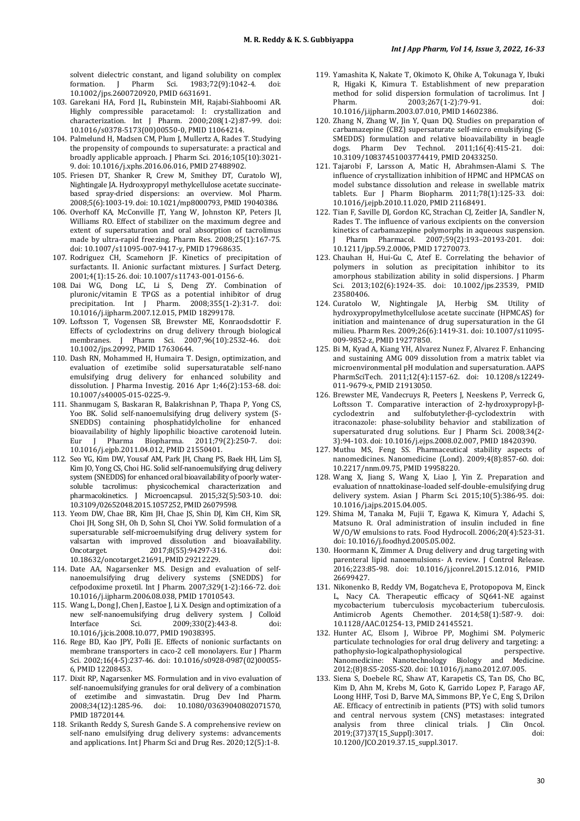solvent dielectric constant, and ligand solubility on complex formation. 1983;72(9):1042-4. [10.1002/jps.2600720920,](https://doi.org/10.1002/jps.2600720920) PMI[D 6631691.](https://www.ncbi.nlm.nih.gov/pubmed/6631691)

- 103. Garekani HA, Ford JL, Rubinstein MH, Rajabi-Siahboomi AR. Highly compressible paracetamol: I: crystallization and characterization. Int J Pharm. 2000;208(1-2):87-99. doi: [10.1016/s0378-5173\(00\)00550-0,](https://doi.org/10.1016/s0378-5173(00)00550-0) PMI[D 11064214.](https://www.ncbi.nlm.nih.gov/pubmed/11064214)
- 104. Palmelund H, Madsen CM, Plum J, Mullertz A, Rades T. Studying the propensity of compounds to supersaturate: a practical and broadly applicable approach. J Pharm Sci. 2016;105(10):3021- 9. doi[: 10.1016/j.xphs.2016.06.016,](https://doi.org/10.1016/j.xphs.2016.06.016) PMI[D 27488902.](https://www.ncbi.nlm.nih.gov/pubmed/27488902)
- 105. Friesen DT, Shanker R, Crew M, Smithey DT, Curatolo WJ, Nightingale JA. Hydroxypropyl methylcellulose acetate succinatebased spray-dried dispersions: an overview. Mol Pharm. 2008;5(6):1003-19. doi[: 10.1021/mp8000793,](https://doi.org/10.1021/mp8000793) PMI[D 19040386.](https://www.ncbi.nlm.nih.gov/pubmed/19040386)
- 106. Overhoff KA, McConville JT, Yang W, Johnston KP, Peters JI, Williams RO. Effect of stabilizer on the maximum degree and extent of supersaturation and oral absorption of tacrolimus made by ultra-rapid freezing. Pharm Res. 2008;25(1):167-75. doi[: 10.1007/s11095-007-9417-y,](https://doi.org/10.1007/s11095-007-9417-y) PMI[D 17968635.](https://www.ncbi.nlm.nih.gov/pubmed/17968635)
- 107. Rodriguez CH, Scamehorn JF. Kinetics of precipitation of surfactants. II. Anionic surfactant mixtures. J Surfact Deterg. 2001;4(1):15-26. doi[: 10.1007/s11743-001-0156-6.](https://doi.org/10.1007/s11743-001-0156-6)
- 108. Dai WG, Dong LC, Li S, Deng ZY. Combination of pluronic/vitamin E TPGS as a potential inhibitor of drug precipitation. Int J Pharm. 2008;355(1-2):31-7. doi: [10.1016/j.ijpharm.2007.12.015,](https://doi.org/10.1016/j.ijpharm.2007.12.015) PMI[D 18299178.](https://www.ncbi.nlm.nih.gov/pubmed/18299178)
- 109. Loftsson T, Vogensen SB, Brewster ME, Konraodsdottir F. Effects of cyclodextrins on drug delivery through biological membranes. J Pharm Sci. 2007;96(10):2532-46. doi: [10.1002/jps.20992,](https://doi.org/10.1002/jps.20992) PMI[D 17630644.](https://www.ncbi.nlm.nih.gov/pubmed/17630644)
- 110. Dash RN, Mohammed H, Humaira T. Design, optimization, and evaluation of ezetimibe solid supersaturatable self-nano emulsifying drug delivery for enhanced solubility and dissolution. J Pharma Investig. 2016 Apr 1;46(2):153-68. doi: [10.1007/s40005-015-0225-9.](https://doi.org/10.1007/s40005-015-0225-9)
- 111. Shanmugam S, Baskaran R, Balakrishnan P, Thapa P, Yong CS, Yoo BK. Solid self-nanoemulsifying drug delivery system (S-SNEDDS) containing phosphatidylcholine for enhanced bioavailability of highly lipophilic bioactive carotenoid lutein.<br>Eur I Pharma Biopharma. 2011:79(2):250-7. doi: Pharma Biopharma. 2011;79(2):250-7. [10.1016/j.ejpb.2011.04.012,](https://doi.org/10.1016/j.ejpb.2011.04.012) PMI[D 21550401.](https://www.ncbi.nlm.nih.gov/pubmed/21550401)
- 112. Seo YG, Kim DW, Yousaf AM, Park JH, Chang PS, Baek HH, Lim SJ, Kim JO, Yong CS, Choi HG. Solid self-nanoemulsifying drug delivery system (SNEDDS) for enhanced oral bioavailability of poorly watersoluble tacrolimus: physicochemical characterization and pharmacokinetics. J Microencapsul. 2015;32(5):503-10. doi: [10.3109/02652048.2015.1057252,](https://doi.org/10.3109/02652048.2015.1057252) PMI[D 26079598.](https://www.ncbi.nlm.nih.gov/pubmed/26079598)
- 113. Yeom DW, Chae BR, Kim JH, Chae JS, Shin DJ, Kim CH, Kim SR, Choi JH, Song SH, Oh D, Sohn SI, Choi YW. Solid formulation of a supersaturable self-microemulsifying drug delivery system for valsartan with improved dissolution and bioavailability.<br>Oncotarget. 2017:8(55):94297-316. doi: 2017;8(55):94297-316. [10.18632/oncotarget.21691,](https://doi.org/10.18632/oncotarget.21691) PMI[D 29212229.](https://www.ncbi.nlm.nih.gov/pubmed/29212229)
- 114. Date AA, Nagarsenker MS. Design and evaluation of selfnanoemulsifying drug delivery systems (SNEDDS) for cefpodoxime proxetil. Int J Pharm. 2007;329(1-2):166-72. doi: [10.1016/j.ijpharm.2006.08.038,](https://doi.org/10.1016/j.ijpharm.2006.08.038) PMI[D 17010543.](https://www.ncbi.nlm.nih.gov/pubmed/17010543)
- 115. Wang L, Dong J, Chen J, Eastoe J, Li X. Design and optimization of a new self-nanoemulsifying drug delivery system. J Colloid Interface Sci. 2009;330(2):443-8. doi: 2009;330(2):443-8. [10.1016/j.jcis.2008.10.077,](https://doi.org/10.1016/j.jcis.2008.10.077) PMI[D 19038395.](https://www.ncbi.nlm.nih.gov/pubmed/19038395)
- 116. Rege BD, Kao JPY, Polli JE. Effects of nonionic surfactants on membrane transporters in caco-2 cell monolayers. Eur J Pharm Sci. 2002;16(4-5):237-46. doi: [10.1016/s0928-0987\(02\)00055-](https://doi.org/10.1016/s0928-0987(02)00055-6) [6,](https://doi.org/10.1016/s0928-0987(02)00055-6) PMI[D 12208453.](https://www.ncbi.nlm.nih.gov/pubmed/12208453)
- 117. Dixit RP, Nagarsenker MS. Formulation and in vivo evaluation of self-nanoemulsifying granules for oral delivery of a combination of ezetimibe and simvastatin. Drug Dev Ind Pharm.<br>2008;34(12):1285-96. doi: 10.1080/03639040802071570, 2008;34(12):1285-96. doi: [10.1080/03639040802071570,](https://doi.org/10.1080/03639040802071570)  PMI[D 18720144.](https://www.ncbi.nlm.nih.gov/pubmed/18720144)
- 118. Srikanth Reddy S, Suresh Gande S. A comprehensive review on self-nano emulsifying drug delivery systems: advancements and applications. Int J Pharm Sci and Drug Res. 2020;12(5):1-8.
- 119. Yamashita K, Nakate T, Okimoto K, Ohike A, Tokunaga Y, Ibuki R, Higaki K, Kimura T. Establishment of new preparation method for solid dispersion formulation of tacrolimus. Int J<br>Pharm. 2003;267(1-2):79-91. doi: Pharm. 2003;267(1-2):79-91. doi: [10.1016/j.ijpharm.2003.07.010,](https://doi.org/10.1016/j.ijpharm.2003.07.010) PMI[D 14602386.](https://www.ncbi.nlm.nih.gov/pubmed/14602386)
- 120. Zhang N, Zhang W, Jin Y, Quan DQ. Studies on preparation of carbamazepine (CBZ) supersaturate self-micro emulsifying (S-SMEDDS) formulation and relative bioavailability in beagle<br>dogs. Pharm Dev Technol. 2011;16(4):415-21. doi: Technol. 2011;16(4):415-21. doi: [10.3109/10837451003774419,](https://doi.org/10.3109/10837451003774419) PMI[D 20433250.](https://www.ncbi.nlm.nih.gov/pubmed/20433250)
- 121. Tajarobi F, Larsson A, Matic H, Abrahmsen-Alami S. The influence of crystallization inhibition of HPMC and HPMCAS on model substance dissolution and release in swellable matrix tablets. Eur J Pharm Biopharm. 2011;78(1):125-33. doi: [10.1016/j.ejpb.2010.11.020,](https://doi.org/10.1016/j.ejpb.2010.11.020) PMI[D 21168491.](https://www.ncbi.nlm.nih.gov/pubmed/21168491)
- 122. Tian F, Saville DJ, Gordon KC, Strachan CJ, Zeitler JA, Sandler N, Rades T. The influence of various excipients on the conversion kinetics of carbamazepine polymorphs in aqueous suspension.<br>I Pharm Pharmacol. 2007:59(2):193-20193-201. doi: Pharm Pharmacol. 2007;59(2):193-20193-201. [10.1211/jpp.59.2.0006,](https://doi.org/10.1211/jpp.59.2.0006) PMI[D 17270073.](https://www.ncbi.nlm.nih.gov/pubmed/17270073)
- 123. Chauhan H, Hui-Gu C, Atef E. Correlating the behavior of polymers in solution as precipitation inhibitor to its amorphous stabilization ability in solid dispersions. J Pharm Sci. 2013;102(6):1924-35. doi: [10.1002/jps.23539,](https://doi.org/10.1002/jps.23539) PMID [23580406.](https://www.ncbi.nlm.nih.gov/pubmed/23580406)
- 124. Curatolo W, Nightingale JA, Herbig SM. Utility of hydroxypropylmethylcellulose acetate succinate (HPMCAS) for initiation and maintenance of drug supersaturation in the GI milieu. Pharm Res. 2009;26(6):1419-31. doi: [10.1007/s11095-](https://doi.org/10.1007/s11095-009-9852-z) [009-9852-z,](https://doi.org/10.1007/s11095-009-9852-z) PMI[D 19277850.](https://www.ncbi.nlm.nih.gov/pubmed/19277850)
- 125. Bi M, Kyad A, Kiang YH, Alvarez Nunez F, Alvarez F. Enhancing and sustaining AMG 009 dissolution from a matrix tablet via microenvironmental pH modulation and supersaturation. AAPS PharmSciTech. 2011;12(4):1157-62. doi: [10.1208/s12249-](https://doi.org/10.1208/s12249-011-9679-x) [011-9679-x,](https://doi.org/10.1208/s12249-011-9679-x) PMI[D 21913050.](https://www.ncbi.nlm.nih.gov/pubmed/21913050)
- 126. Brewster ME, Vandecruys R, Peeters J, Neeskens P, Verreck G, Loftsson T. Comparative interaction of 2-hydroxypropyl-βcyclodextrin and sulfobutylether-β-cyclodextrin itraconazole: phase-solubility behavior and stabilization of supersaturated drug solutions. Eur J Pharm Sci. 2008;34(2- 3):94-103. doi[: 10.1016/j.ejps.2008.02.007,](https://doi.org/10.1016/j.ejps.2008.02.007) PMI[D 18420390.](https://www.ncbi.nlm.nih.gov/pubmed/18420390)
- 127. Muthu MS, Feng SS. Pharmaceutical stability aspects of nanomedicines. Nanomedicine (Lond). 2009;4(8):857-60. doi: [10.2217/nnm.09.75,](https://doi.org/10.2217/nnm.09.75) PMI[D 19958220.](https://www.ncbi.nlm.nih.gov/pubmed/19958220)
- 128. Wang X, Jiang S, Wang X, Liao J, Yin Z. Preparation and evaluation of nnattokinase-loaded self-double-emulsifying drug delivery system. Asian J Pharm Sci. 2015;10(5):386-95. doi: [10.1016/j.ajps.2015.04.005.](https://doi.org/10.1016/j.ajps.2015.04.005)
- 129. Shima M, Tanaka M, Fujii T, Egawa K, Kimura Y, Adachi S, Matsuno R. Oral administration of insulin included in fine W/O/W emulsions to rats. Food Hydrocoll. 2006;20(4):523-31. doi[: 10.1016/j.foodhyd.2005.05.002.](https://doi.org/10.1016/j.foodhyd.2005.05.002)
- 130. Hoormann K, Zimmer A. Drug delivery and drug targeting with parenteral lipid nanoemulsions- A review. J Control Release. 2016;223:85-98. doi: [10.1016/j.jconrel.2015.12.016,](https://doi.org/10.1016/j.jconrel.2015.12.016) PMID [26699427.](https://www.ncbi.nlm.nih.gov/pubmed/26699427)
- 131. Nikonenko B, Reddy VM, Bogatcheva E, Protopopova M, Einck L, Nacy CA. Therapeutic efficacy of SQ641-NE against mycobacterium tuberculosis mycobacterium tuberculosis. Antimicrob Agents Chemother. 2014;58(1):587-9. doi: [10.1128/AAC.01254-13,](https://doi.org/10.1128/AAC.01254-13) PMI[D 24145521.](https://www.ncbi.nlm.nih.gov/pubmed/24145521)
- 132. Hunter AC, Elsom J, Wibroe PP, Moghimi SM. Polymeric particulate technologies for oral drug delivery and targeting: a pathophysio-logicalpathophysiological perspective. Nanomedicine: Nanotechnology Biology 2012;(8)8:S5-20S5-S20. doi[: 10.1016/j.nano.2012.07.005.](https://doi.org/10.1016/j.nano.2012.07.005)
- 133. Siena S, Doebele RC, Shaw AT, Karapetis CS, Tan DS, Cho BC, Kim D, Ahn M, Krebs M, Goto K, Garrido Lopez P, Farago AF, Loong HHF, Tosi D, Barve MA, Simmons BP, Ye C, Eng S, Drilon AE. Efficacy of entrectinib in patients (PTS) with solid tumors and central nervous system (CNS) metastases: integrated analysis from three clinical trials. J Clin Oncol.<br>2019:(37137/15 Suppl):3017<br>doi: 2019;(37)37(15 Suppl):3017. [10.1200/JCO.2019.37.15\\_suppl.3017.](https://doi.org/10.1200/JCO.2019.37.15_suppl.3017)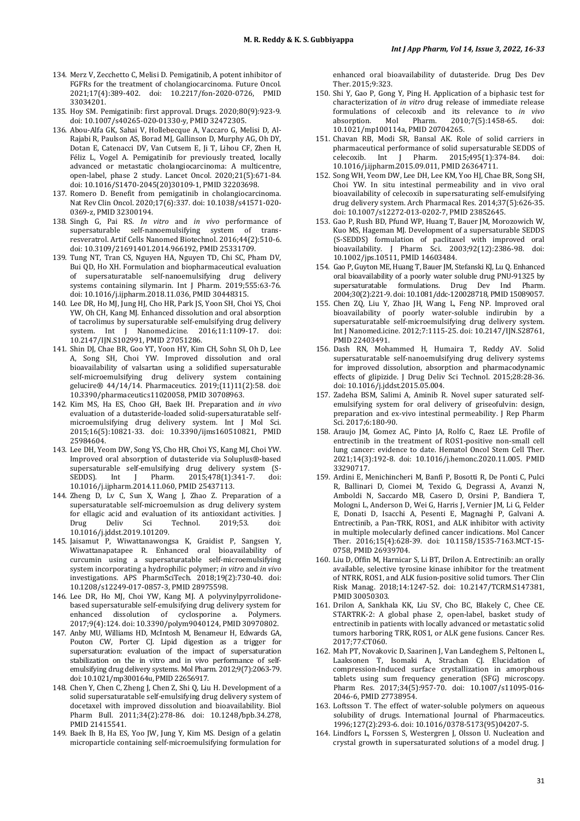- 134. Merz V, Zecchetto C, Melisi D. Pemigatinib, A potent inhibitor of FGFRs for the treatment of cholangiocarcinoma. Future Oncol. 2021;17(4):389-402. doi: [10.2217/fon-2020-0726,](https://doi.org/10.2217/fon-2020-0726) PMID [33034201.](https://www.ncbi.nlm.nih.gov/pubmed/33034201)
- 135. Hoy SM. Pemigatinib: first approval. Drugs. 2020;80(9):923-9. doi[: 10.1007/s40265-020-01330-y,](https://doi.org/10.1007/s40265-020-01330-y) PMI[D 32472305.](https://www.ncbi.nlm.nih.gov/pubmed/32472305)
- 136. Abou-Alfa GK, Sahai V, Hollebecque A, Vaccaro G, Melisi D, Al-Rajabi R, Paulson AS, Borad MJ, Gallinson D, Murphy AG, Oh DY, Dotan E, Catenacci DV, Van Cutsem E, Ji T, Lihou CF, Zhen H, Féliz L, Vogel A. Pemigatinib for previously treated, locally advanced or metastatic cholangiocarcinoma: A multicentre, open-label, phase 2 study. Lancet Oncol. 2020;21(5):671-84. doi[: 10.1016/S1470-2045\(20\)30109-1,](https://doi.org/10.1016/S1470-2045(20)30109-1) PMI[D 32203698.](https://www.ncbi.nlm.nih.gov/pubmed/32203698)
- 137. Romero D. Benefit from pemigatinib in cholangiocarcinoma. Nat Rev Clin Oncol. 2020;17(6):337. doi[: 10.1038/s41571-020-](https://doi.org/10.1038/s41571-020-0369-z) [0369-z,](https://doi.org/10.1038/s41571-020-0369-z) PMI[D 32300194.](https://www.ncbi.nlm.nih.gov/pubmed/32300194)
- 138. Singh G, Pai RS. *In vitro* and *in vivo* performance of supersaturable self-nanoemulsifying system of transresveratrol. Artif Cells Nanomed Biotechnol. 2016;44(2):510-6. doi[: 10.3109/21691401.2014.966192,](https://doi.org/10.3109/21691401.2014.966192) PMI[D 25331709.](https://www.ncbi.nlm.nih.gov/pubmed/25331709)
- 139. Tung NT, Tran CS, Nguyen HA, Nguyen TD, Chi SC, Pham DV, Bui QD, Ho XH. Formulation and biopharmaceutical evaluation of supersaturatable self-nanoemulsifying drug delivery systems containing silymarin. Int J Pharm. 2019;555:63-76. doi: [10.1016/j.ijpharm.2018.11.036,](https://doi.org/10.1016/j.ijpharm.2018.11.036) PMI[D 30448315.](https://www.ncbi.nlm.nih.gov/pubmed/30448315)
- 140. Lee DR, Ho MJ, Jung HJ, Cho HR, Park JS, Yoon SH, Choi YS, Choi YW, Oh CH, Kang MJ. Enhanced dissolution and oral absorption of tacrolimus by supersaturable self-emulsifying drug delivery system. Int J Nanomed.icine. 2016;11:1109-17. doi: [10.2147/IJN.S102991,](https://doi.org/10.2147/IJN.S102991) PMI[D 27051286.](https://www.ncbi.nlm.nih.gov/pubmed/27051286)
- 141. Shin DJ, Chae BR, Goo YT, Yoon HY, Kim CH, Sohn SI, Oh D, Lee A, Song SH, Choi YW. Improved dissolution and oral bioavailability of valsartan using a solidified supersaturable self-microemulsifying drug delivery system containing gelucire® 44/14/14. Pharmaceutics. 2019;(11)11(2):58. doi: [10.3390/pharmaceutics11020058,](https://doi.org/10.3390/pharmaceutics11020058) PMI[D 30708963.](https://www.ncbi.nlm.nih.gov/pubmed/30708963)
- 142. Kim MS, Ha ES, Choo GH, Baek IH. Preparation and *in vivo* evaluation of a dutasteride-loaded solid-supersaturatable selfmicroemulsifying drug delivery system. Int J Mol Sci. 2015;16(5):10821-33. doi: [10.3390/ijms160510821,](https://doi.org/10.3390/ijms160510821) PMID [25984604.](https://www.ncbi.nlm.nih.gov/pubmed/25984604)
- 143. Lee DH, Yeom DW, Song YS, Cho HR, Choi YS, Kang MJ, Choi YW. Improved oral absorption of dutasteride via Soluplus®-based supersaturable self-emulsifying drug delivery system (S-<br>SEDDS). Int J Pharm. 2015;478(1):341-7. doi: SEDDS). Int J Pharm. 2015;478(1):341-7. doi: [10.1016/j.ijpharm.2014.11.060,](https://doi.org/10.1016/j.ijpharm.2014.11.060) PMI[D 25437113.](https://www.ncbi.nlm.nih.gov/pubmed/25437113)
- 144. Zheng D, Lv C, Sun X, Wang J, Zhao Z. Preparation of a supersaturatable self-microemulsion as drug delivery system for ellagic acid and evaluation of its antioxidant activities. J<br>Drug – Deliv – Sci – Technol. – 2019:53. – doi: Drug Deliv Sci Technol. 2019;53. doi: [10.1016/j.jddst.2019.101209.](https://doi.org/10.1016/j.jddst.2019.101209)
- 145. Jaisamut P, Wiwattanawongsa K, Graidist P, Sangsen Y, Wiwattanapatapee R. Enhanced oral bioavailability of curcumin using a supersaturatable self-microemulsifying system incorporating a hydrophilic polymer; *in vitro* and *in vivo* investigations. APS PharmSciTech. 2018;19(2):730-40. doi: [10.1208/s12249-017-0857-3,](https://doi.org/10.1208/s12249-017-0857-3) PMI[D 28975598.](https://www.ncbi.nlm.nih.gov/pubmed/28975598)
- 146. Lee DR, Ho MJ, Choi YW, Kang MJ. A polyvinylpyrrolidonebased supersaturable self-emulsifying drug delivery system for enhanced dissolution of cyclosporine a. Polymers. 2017;9(4):124. doi[: 10.3390/polym9040124,](https://doi.org/10.3390/polym9040124) PMI[D 30970802.](https://www.ncbi.nlm.nih.gov/pubmed/30970802)
- 147. Anby MU, Williams HD, McIntosh M, Benameur H, Edwards GA, Pouton CW, Porter CJ. Lipid digestion as a trigger for supersaturation: evaluation of the impact of supersaturation stabilization on the in vitro and in vivo performance of selfemulsifying drug delivery systems. Mol Pharm. 2012;9(7):2063-79. doi[: 10.1021/mp300164u,](https://doi.org/10.1021/mp300164u) PMI[D 22656917.](https://www.ncbi.nlm.nih.gov/pubmed/22656917)
- 148. Chen Y, Chen C, Zheng J, Chen Z, Shi Q, Liu H. Development of a solid supersaturatable self-emulsifying drug delivery system of docetaxel with improved dissolution and bioavailability. Biol Pharm Bull. 2011;34(2):278-86. doi: [10.1248/bpb.34.278,](https://doi.org/10.1248/bpb.34.278)  PMI[D 21415541.](https://www.ncbi.nlm.nih.gov/pubmed/21415541)
- 149. Baek Ih B, Ha ES, Yoo JW, Jung Y, Kim MS. Design of a gelatin microparticle containing self-microemulsifying formulation for

enhanced oral bioavailability of dutasteride. Drug Des Dev Ther. 2015;9:323.

- 150. Shi Y, Gao P, Gong Y, Ping H. Application of a biphasic test for characterization of *in vitro* drug release of immediate release formulations of celecoxib and its relevance to *in vivo* 2010;7(5):1458-65. [10.1021/mp100114a,](https://doi.org/10.1021/mp100114a) PMI[D 20704265.](https://www.ncbi.nlm.nih.gov/pubmed/20704265)
- 151. Chavan RB, Modi SR, Bansal AK. Role of solid carriers in pharmaceutical performance of solid supersaturable SEDDS of<br>celecoxib. Int I Pharm. 2015;495(1):374-84. doi: celecoxib. Int J Pharm. [10.1016/j.ijpharm.2015.09.011,](https://doi.org/10.1016/j.ijpharm.2015.09.011) PMI[D 26364711.](https://www.ncbi.nlm.nih.gov/pubmed/26364711)
- 152. Song WH, Yeom DW, Lee DH, Lee KM, Yoo HJ, Chae BR, Song SH, Choi YW. In situ intestinal permeability and in vivo oral bioavailability of celecoxib in supersaturating self-emulsifying drug delivery system. Arch Pharmacal Res. 2014;37(5):626-35. doi[: 10.1007/s12272-013-0202-7,](https://doi.org/10.1007/s12272-013-0202-7) PMI[D 23852645.](https://www.ncbi.nlm.nih.gov/pubmed/23852645)
- 153. Gao P, Rush BD, Pfund WP, Huang T, Bauer JM, Morozowich W, Kuo MS, Hageman MJ. Development of a supersaturable SEDDS (S-SEDDS) formulation of paclitaxel with improved oral bioavailability. J Pharm Sci. 2003;92(12):2386-98. doi: [10.1002/jps.10511,](https://doi.org/10.1002/jps.10511) PMI[D 14603484.](https://www.ncbi.nlm.nih.gov/pubmed/14603484)
- 154. Gao P, Guyton ME, Huang T, Bauer JM, Stefanski KJ, Lu Q. Enhanced oral bioavailability of a poorly water soluble drug PNU-91325 by supersaturatable formulations. Drug Dev Ind Pharm. 2004;30(2):221-9. doi[: 10.1081/ddc-120028718,](https://doi.org/10.1081/ddc-120028718) PMI[D 15089057.](https://www.ncbi.nlm.nih.gov/pubmed/15089057)
- 155. Chen ZQ, Liu Y, Zhao JH, Wang L, Feng NP. Improved oral bioavailability of poorly water-soluble indirubin by a supersaturatable self-microemulsifying drug delivery system. Int J Nanomed.icine. 2012;7:1115-25. doi[: 10.2147/IJN.S28761,](https://doi.org/10.2147/IJN.S28761)  PMI[D 22403491.](https://www.ncbi.nlm.nih.gov/pubmed/22403491)
- 156. Dash RN, Mohammed H, Humaira T, Reddy AV. Solid supersaturatable self-nanoemulsifying drug delivery systems for improved dissolution, absorption and pharmacodynamic effects of glipizide. J Drug Deliv Sci Technol. 2015;28:28-36. doi[: 10.1016/j.jddst.2015.05.004.](https://doi.org/10.1016/j.jddst.2015.05.004)
- 157. Zadeha BSM, Salimi A, Aminib R. Novel super saturated selfemulsifying system for oral delivery of griseofulvin: design, preparation and ex-vivo intestinal permeability. J Rep Pharm Sci. 2017:6:180-90.
- 158. Araujo JM, Gomez AC, Pinto JA, Rolfo C, Raez LE. Profile of entrectinib in the treatment of ROS1-positive non-small cell lung cancer: evidence to date. Hematol Oncol Stem Cell Ther. 2021;14(3):192-8. doi: [10.1016/j.hemonc.2020.11.005.](https://doi.org/10.1016/j.hemonc.2020.11.005) PMID [33290717.](https://www.ncbi.nlm.nih.gov/pubmed/33290717)
- 159. Ardini E, Menichincheri M, Banfi P, Bosotti R, De Ponti C, Pulci R, Ballinari D, Ciomei M, Texido G, Degrassi A, Avanzi N, Amboldi N, Saccardo MB, Casero D, Orsini P, Bandiera T, Mologni L, Anderson D, Wei G, Harris J, Vernier JM, Li G, Felder E, Donati D, Isacchi A, Pesenti E, Magnaghi P, Galvani A. Entrectinib, a Pan-TRK, ROS1, and ALK inhibitor with activity in multiple molecularly defined cancer indications. Mol Cancer Ther. 2016;15(4):628-39. doi: [10.1158/1535-7163.MCT-15-](https://doi.org/10.1158/1535-7163.MCT-15-0758) [0758,](https://doi.org/10.1158/1535-7163.MCT-15-0758) PMI[D 26939704.](https://www.ncbi.nlm.nih.gov/pubmed/26939704)
- 160. Liu D, Offin M, Harnicar S, Li BT, Drilon A. Entrectinib: an orally available, selective tyrosine kinase inhibitor for the treatment of NTRK, ROS1, and ALK fusion-positive solid tumors. Ther Clin Risk Manag. 2018;14:1247-52. doi: [10.2147/TCRM.S147381,](https://doi.org/10.2147/TCRM.S147381)  PMI[D 30050303.](https://www.ncbi.nlm.nih.gov/pubmed/30050303)
- 161. Drilon A, Sankhala KK, Liu SV, Cho BC, Blakely C, Chee CE. STARTRK-2: A global phase 2, open-label, basket study of entrectinib in patients with locally advanced or metastatic solid tumors harboring TRK, ROS1, or ALK gene fusions. Cancer Res. 2017;77:CT060.
- 162. Mah PT, Novakovic D, Saarinen J, Van Landeghem S, Peltonen L, Laaksonen T, Isomaki A, Strachan CJ. Elucidation of compression-Induced surface crystallization in amorphous tablets using sum frequency generation (SFG) microscopy. Pharm Res. 2017;34(5):957-70. doi: [10.1007/s11095-016-](https://doi.org/10.1007/s11095-016-2046-6) [2046-6,](https://doi.org/10.1007/s11095-016-2046-6) PMI[D 27738954.](https://www.ncbi.nlm.nih.gov/pubmed/27738954)
- 163. Loftsson T. The effect of water-soluble polymers on aqueous solubility of drugs. International Journal of Pharmaceutics. 1996;127(2):293-6. doi[: 10.1016/0378-5173\(95\)04207-5.](https://doi.org/10.1016/0378-5173(95)04207-5)
- 164. Lindfors L, Forssen S, Westergren J, Olsson U. Nucleation and crystal growth in supersaturated solutions of a model drug. J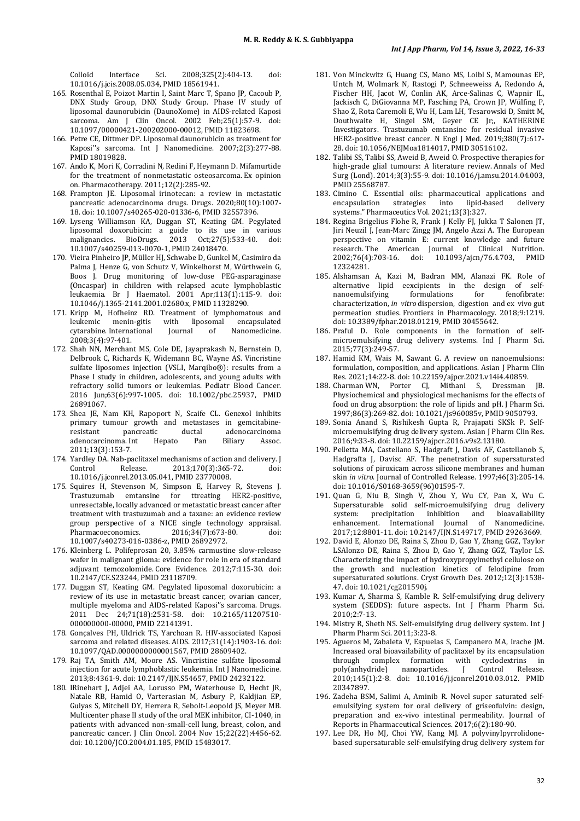Colloid Interface Sci. 2008;325(2):404-13. doi: [10.1016/j.jcis.2008.05.034,](https://doi.org/10.1016/j.jcis.2008.05.034) PMI[D 18561941.](https://www.ncbi.nlm.nih.gov/pubmed/18561941)

- 165. Rosenthal E, Poizot Martin I, Saint Marc T, Spano JP, Cacoub P, DNX Study Group, DNX Study Group. Phase IV study of liposomal daunorubicin (DaunoXome) in AIDS-related Kaposi sarcoma. Am J Clin Oncol. 2002 Feb;25(1):57-9. doi: [10.1097/00000421-200202000-00012,](https://doi.org/10.1097/00000421-200202000-00012) PMI[D 11823698.](https://www.ncbi.nlm.nih.gov/pubmed/11823698)
- 166. Petre CE, Dittmer DP. Liposomal daunorubicin as treatment for Kaposi''s sarcoma. Int J Nanomedicine. 2007;2(3):277-88. PMI[D 18019828.](https://www.ncbi.nlm.nih.gov/pubmed/18019828)
- 167. Ando K, Mori K, Corradini N, Redini F, Heymann D. Mifamurtide for the treatment of nonmetastatic osteosarcoma. Ex opinion on. Pharmacotherapy. 2011;12(2):285-92.
- 168. Frampton JE. Liposomal irinotecan: a review in metastatic pancreatic adenocarcinoma drugs. Drugs. 2020;80(10):1007- 18. doi[: 10.1007/s40265-020-01336-6,](https://doi.org/10.1007/s40265-020-01336-6) PMI[D 32557396.](https://www.ncbi.nlm.nih.gov/pubmed/32557396)
- 169. Lyseng Williamson KA, Duggan ST, Keating GM. Pegylated liposomal doxorubicin: a guide to its use in various malignancies. BioDrugs. 2013 Oct;27(5):533-40. doi: [10.1007/s40259-013-0070-1,](https://doi.org/10.1007/s40259-013-0070-1) PMI[D 24018470.](https://www.ncbi.nlm.nih.gov/pubmed/24018470)
- 170. Vieira Pinheiro JP, Müller HJ, Schwabe D, Gunkel M, Casimiro da Palma J, Henze G, von Schutz V, Winkelhorst M, Würthwein G, Boos J. Drug monitoring of low-dose PEG-asparaginase (Oncaspar) in children with relapsed acute lymphoblastic leukaemia. Br J Haematol. 2001 Apr;113(1):115-9. doi: [10.1046/j.1365-2141.2001.02680.x,](https://doi.org/10.1046/j.1365-2141.2001.02680.x) PMID [11328290.](https://www.ncbi.nlm.nih.gov/pubmed/11328290)
- 171. Kripp M, Hofheinz RD. Treatment of lymphomatous and leukemic menin-gitis with liposomal encapsulated with liposomal encapsulated<br>Iournal of Nanomedicine. cytarabine. International 2008:3(4):97-401.
- 172. Shah NN, Merchant MS, Cole DE, Jayaprakash N, Bernstein D, Delbrook C, Richards K, Widemann BC, Wayne AS. Vincristine sulfate liposomes injection (VSLI, Marqibo®): results from a Phase I study in children, adolescents, and young adults with refractory solid tumors or leukemias. Pediatr Blood Cancer. 2016 Jun;63(6):997-1005. doi: [10.1002/pbc.25937,](https://doi.org/10.1002/pbc.25937) PMID [26891067.](https://www.ncbi.nlm.nih.gov/pubmed/26891067)
- 173. Shea JE, Nam KH, Rapoport N, Scaife CL. Genexol inhibits primary tumour growth and metastases in gemcitabine-<br>resistant pancreatic ductal adenocarcinoma reside ductal adenocarcinoma<br>
Hepato Pan Biliary Assoc. adenocarcinoma. Int 2011;13(3):153-7.
- 174. Yardley DA. Nab-paclitaxel mechanisms of action and delivery. J<br>Control Release. 2013;170(3):365-72. doi: Control Release. 2013;170(3):365-72. doi: [10.1016/j.jconrel.2013.05.041,](https://doi.org/10.1016/j.jconrel.2013.05.041) PMI[D 23770008.](https://www.ncbi.nlm.nih.gov/pubmed/23770008)
- 175. Squires H, Stevenson M, Simpson E, Harvey R, Stevens J. Trastuzumab emtansine for ttreating HER2-positive, unresectable, locally advanced or metastatic breast cancer after treatment with trastuzumab and a taxane: an evidence review group perspective of a NICE single technology appraisal. 2016;34(7):673-80. [10.1007/s40273-016-0386-z,](https://doi.org/10.1007/s40273-016-0386-z) PMI[D 26892972.](https://www.ncbi.nlm.nih.gov/pubmed/26892972)
- 176. Kleinberg L. Polifeprosan 20, 3.85% carmustine slow-release wafer in malignant glioma: evidence for role in era of standard adjuvant temozolomide. Core Evidence. 2012;7:115-30. doi: [10.2147/CE.S23244,](https://doi.org/10.2147/CE.S23244) PMI[D 23118709.](https://www.ncbi.nlm.nih.gov/pubmed/23118709)
- 177. Duggan ST, Keating GM. Pegylated liposomal doxorubicin: a review of its use in metastatic breast cancer, ovarian cancer, multiple myeloma and AIDS-related Kaposi''s sarcoma. Drugs. 2011 Dec 24;71(18):2531-58. doi: [10.2165/11207510-](https://doi.org/10.2165/11207510-000000000-00000) [000000000-00000,](https://doi.org/10.2165/11207510-000000000-00000) PMID [22141391.](https://www.ncbi.nlm.nih.gov/pubmed/22141391)
- 178. Gonçalves PH, Uldrick TS, Yarchoan R. HIV-associated Kaposi sarcoma and related diseases. AIDS. 2017;31(14):1903-16. doi: [10.1097/QAD.0000000000001567,](https://doi.org/10.1097/QAD.0000000000001567) PMI[D 28609402.](https://www.ncbi.nlm.nih.gov/pubmed/28609402)
- 179. Raj TA, Smith AM, Moore AS. Vincristine sulfate liposomal injection for acute lymphoblastic leukemia. Int J Nanomedicine. 2013;8:4361-9. doi[: 10.2147/IJN.S54657,](https://doi.org/10.2147/IJN.S54657) PMI[D 24232122.](https://www.ncbi.nlm.nih.gov/pubmed/24232122)
- 180. IRinehart J, Adjei AA, Lorusso PM, Waterhouse D, Hecht JR, Natale RB, Hamid O, Varterasian M, Asbury P, Kaldjian EP, Gulyas S, Mitchell DY, Herrera R, Sebolt-Leopold JS, Meyer MB. Multicenter phase II study of the oral MEK inhibitor, CI-1040, in patients with advanced non-small-cell lung, breast, colon, and pancreatic cancer. J Clin Oncol. 2004 Nov 15;22(22):4456-62. doi[: 10.1200/JCO.2004.01.185,](https://doi.org/10.1200/JCO.2004.01.185) PMI[D 15483017.](https://www.ncbi.nlm.nih.gov/pubmed/15483017)
- 181. Von Minckwitz G, Huang CS, Mano MS, Loibl S, Mamounas EP, Untch M, Wolmark N, Rastogi P, Schneeweiss A, Redondo A, Fischer HH, Jacot W, Conlin AK, Arce-Salinas C, Wapnir IL, Jackisch C, DiGiovanna MP, Fasching PA, Crown JP, Wülfing P, Shao Z, Rota Caremoli E, Wu H, Lam LH, Tesarowski D, Smitt M, Douthwaite H, Singel SM, Geyer CE Jr;, KATHERINE Investigators. Trastuzumab emtansine for residual invasive HER2-positive breast cancer. N Engl J Med. 2019;380(7):617- 28. doi[: 10.1056/NEJMoa1814017,](https://doi.org/10.1056/NEJMoa1814017) PMID [30516102.](https://www.ncbi.nlm.nih.gov/pubmed/30516102)
- 182. Talibi SS, Talibi SS, Aweid B, Aweid O. Prospective therapies for high-grade glial tumours: A literature review. Annals of Med Surg (Lond). 2014;3(3):55-9. doi[: 10.1016/j.amsu.2014.04.003,](https://doi.org/10.1016/j.amsu.2014.04.003)  PMI[D 25568787.](https://www.ncbi.nlm.nih.gov/pubmed/25568787)
- 183. Cimino C. Essential oils: pharmaceutical applications and encapsulation systems." Pharmaceutics Vol. 2021;13(3):327.
- 184. Regina Brigelius Flohe R, Frank J Kelly FJ, Jukka T Salonen JT, Jiri Neuzil J, Jean-Marc Zingg JM, Angelo Azzi A. The European perspective on vitamin E: current knowledge and future research. The American Journal of Clinical Nutrition.<br>2002:76(4):703-16. doi: 10.1093/aicn/76.4.703. PMID 2002;76(4):703-16. doi: [10.1093/ajcn/76.4.703,](https://doi.org/10.1093/ajcn/76.4.703) PMID [12324281.](https://www.ncbi.nlm.nih.gov/pubmed/12324281)
- 185. Alshamsan A, Kazi M, Badran MM, Alanazi FK. Role of alternative lipid eexcipients in the design of selfnanoemulsifying formulations for fenofibrate: characterization, *in vitro* dispersion, digestion and ex vivo gut permeation studies. Frontiers in Pharmacology. 2018;9:1219. doi[: 10.3389/fphar.2018.01219,](https://doi.org/10.3389/fphar.2018.01219) PMI[D 30455642.](https://www.ncbi.nlm.nih.gov/pubmed/30455642)
- 186. Praful D. Role components in the formation of selfmicroemulsifying drug delivery systems. Ind J Pharm Sci. 2015;77(3):249-57.
- 187. Hamid KM, Wais M, Sawant G. A review on nanoemulsions: formulation, composition, and applications. Asian J Pharm Clin Res. 2021;14:22-8. doi[: 10.22159/ajpcr.2021.v14i4.40859.](https://doi.org/10.22159/ajpcr.2021.v14i4.40859)
- 188. Charman WN, Porter CJ, Mithani S, Dressman JB. Physiochemical and physiological mechanisms for the effects of food on drug absorption: the role of lipids and pH. J Pharm Sci. 1997;86(3):269-82. doi[: 10.1021/js960085v,](https://doi.org/10.1021/js960085v) PMI[D 9050793.](https://www.ncbi.nlm.nih.gov/pubmed/9050793)
- 189. Sonia Anand S, Rishikesh Gupta R, Prajapati SKSk P. Selfmicroemulsifying drug delivery system. Asian J Pharm Clin Res. 2016;9:33-8. doi[: 10.22159/ajpcr.2016.v9s2.13180.](https://doi.org/10.22159/ajpcr.2016.v9s2.13180)
- 190. Pelletta MA, Castellano S, Hadgraft J, Davis AF, Castellanob S, Hadgrafta J, Davisc AF. The penetration of supersaturated solutions of piroxicam across silicone membranes and human skin *in vitro*. Journal of Controlled Release. 1997;46(3):205-14. doi[: 10.1016/S0168-3659\(96\)01595-7.](https://doi.org/10.1016/S0168-3659(96)01595-7)
- 191. Quan G, Niu B, Singh V, Zhou Y, Wu CY, Pan X, Wu C. Supersaturable solid self-microemulsifying drug delivery<br>system: precipitation inhibition and bioavailability precipitation inhibition enhancement. International Journal of Nanomedicine. 2017;12:8801-11. doi[: 10.2147/IJN.S149717,](https://doi.org/10.2147/IJN.S149717) PMI[D 29263669.](https://www.ncbi.nlm.nih.gov/pubmed/29263669)
- 192. David E, Alonzo DE, Raina S, Zhou D, Gao Y, Zhang GGZ, Taylor LSAlonzo DE, Raina S, Zhou D, Gao Y, Zhang GGZ, Taylor LS. Characterizing the impact of hydroxypropylmethyl cellulose on the growth and nucleation kinetics of felodipine from supersaturated solutions. Cryst Growth Des. 2012;12(3):1538- 47. doi[: 10.1021/cg201590j.](https://doi.org/10.1021/cg201590j)
- 193. Kumar A, Sharma S, Kamble R. Self-emulsifying drug delivery system (SEDDS): future aspects. Int J Pharm Pharm Sci. 2010;2:7-13.
- 194. Mistry R, Sheth NS. Self-emulsifying drug delivery system. Int J Pharm Pharm Sci. 2011;3:23-8.
- 195. Agueros M, Zabaleta V, Espuelas S, Campanero MA, Irache JM. Increased oral bioavailability of paclitaxel by its encapsulation through complex formation with cyclodextrins in<br>poly(anhydride) nanoparticles. J Control Release. poly(anhydride) nanoparticles. J Control Release. 2010;145(1):2-8. doi: [10.1016/j.jconrel.2010.03.012.](https://doi.org/10.1016/j.jconrel.2010.03.012) PMID [20347897.](https://www.ncbi.nlm.nih.gov/pubmed/20347897)
- 196. Zadeha BSM, Salimi A, Aminib R. Novel super saturated selfemulsifying system for oral delivery of griseofulvin: design, preparation and ex-vivo intestinal permeability. Journal of Reports in Pharmaceutical Sciences. 2017;6(2):180-90.
- 197. Lee DR, Ho MJ, Choi YW, Kang MJ. A polyvinylpyrrolidonebased supersaturable self-emulsifying drug delivery system for